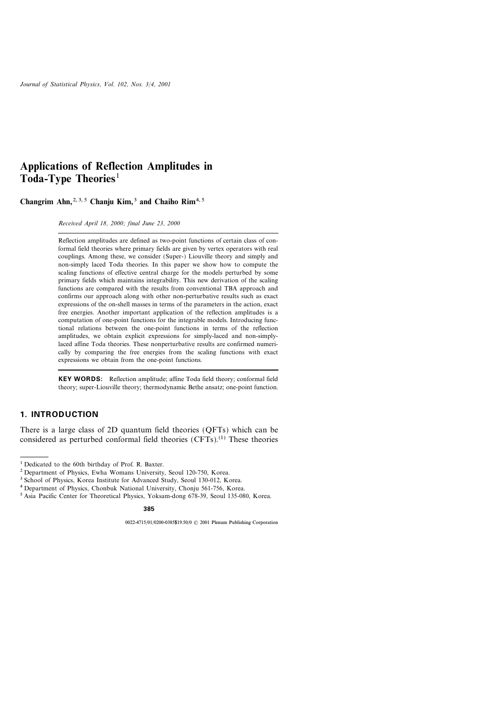# Applications of Reflection Amplitudes in Toda-Type Theories<sup>1</sup>

Changrim Ahn,  $2, 3, 5$  Chanju Kim,  $3$  and Chaiho Rim<sup>4, 5</sup>

Received April 18, 2000; final June 23, 2000

Reflection amplitudes are defined as two-point functions of certain class of conformal field theories where primary fields are given by vertex operators with real couplings. Among these, we consider (Super-) Liouville theory and simply and non-simply laced Toda theories. In this paper we show how to compute the scaling functions of effective central charge for the models perturbed by some primary fields which maintains integrability. This new derivation of the scaling functions are compared with the results from conventional TBA approach and confirms our approach along with other non-perturbative results such as exact expressions of the on-shell masses in terms of the parameters in the action, exact free energies. Another important application of the reflection amplitudes is a computation of one-point functions for the integrable models. Introducing functional relations between the one-point functions in terms of the reflection amplitudes, we obtain explicit expressions for simply-laced and non-simplylaced affine Toda theories. These nonperturbative results are confirmed numerically by comparing the free energies from the scaling functions with exact expressions we obtain from the one-point functions.

KEY WORDS: Reflection amplitude; affine Toda field theory; conformal field theory; super-Liouville theory; thermodynamic Bethe ansatz; one-point function.

### 1. INTRODUCTION

There is a large class of 2D quantum field theories (QFTs) which can be considered as perturbed conformal field theories  $(CFTs)$ .<sup>(1)</sup> These theories

<sup>&</sup>lt;sup>1</sup> Dedicated to the 60th birthday of Prof. R. Baxter.

<sup>2</sup> Department of Physics, Ewha Womans University, Seoul 120-750, Korea.

<sup>&</sup>lt;sup>3</sup> School of Physics, Korea Institute for Advanced Study, Seoul 130-012, Korea.

<sup>4</sup> Department of Physics, Chonbuk National University, Chonju 561-756, Korea.

<sup>5</sup> Asia Pacific Center for Theoretical Physics, Yoksam-dong 678-39, Seoul 135-080, Korea.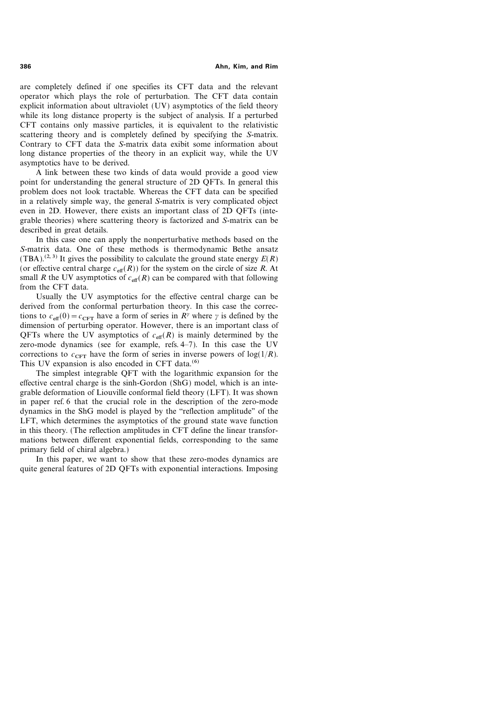386 Ahn, Kim, and Rim

are completely defined if one specifies its CFT data and the relevant operator which plays the role of perturbation. The CFT data contain explicit information about ultraviolet (UV) asymptotics of the field theory while its long distance property is the subject of analysis. If a perturbed CFT contains only massive particles, it is equivalent to the relativistic scattering theory and is completely defined by specifying the S-matrix. Contrary to CFT data the S-matrix data exibit some information about long distance properties of the theory in an explicit way, while the UV asymptotics have to be derived.

A link between these two kinds of data would provide a good view point for understanding the general structure of 2D QFTs. In general this problem does not look tractable. Whereas the CFT data can be specified in a relatively simple way, the general S-matrix is very complicated object even in 2D. However, there exists an important class of 2D QFTs (integrable theories) where scattering theory is factorized and S-matrix can be described in great details.

In this case one can apply the nonperturbative methods based on the S-matrix data. One of these methods is thermodynamic Bethe ansatz (TBA).<sup>(2, 3)</sup> It gives the possibility to calculate the ground state energy  $E(R)$ (or effective central charge  $c_{\text{eff}}(R)$ ) for the system on the circle of size R. At small R the UV asymptotics of  $c_{\text{eff}}(R)$  can be compared with that following from the CFT data.

Usually the UV asymptotics for the effective central charge can be derived from the conformal perturbation theory. In this case the corrections to  $c_{\text{eff}}(0)=c_{\text{CFT}}$  have a form of series in  $R^{\gamma}$  where  $\gamma$  is defined by the dimension of perturbing operator. However, there is an important class of QFTs where the UV asymptotics of  $c_{\text{eff}}(R)$  is mainly determined by the zero-mode dynamics (see for example, refs. 4-7). In this case the UV corrections to  $c_{\text{CFT}}$  have the form of series in inverse powers of log(1/R). This UV expansion is also encoded in CFT data. $(6)$ 

The simplest integrable QFT with the logarithmic expansion for the effective central charge is the sinh-Gordon (ShG) model, which is an integrable deformation of Liouville conformal field theory (LFT). It was shown in paper ref. 6 that the crucial role in the description of the zero-mode dynamics in the ShG model is played by the "reflection amplitude" of the LFT, which determines the asymptotics of the ground state wave function in this theory. (The reflection amplitudes in CFT define the linear transformations between different exponential fields, corresponding to the same primary field of chiral algebra.)

In this paper, we want to show that these zero-modes dynamics are quite general features of 2D QFTs with exponential interactions. Imposing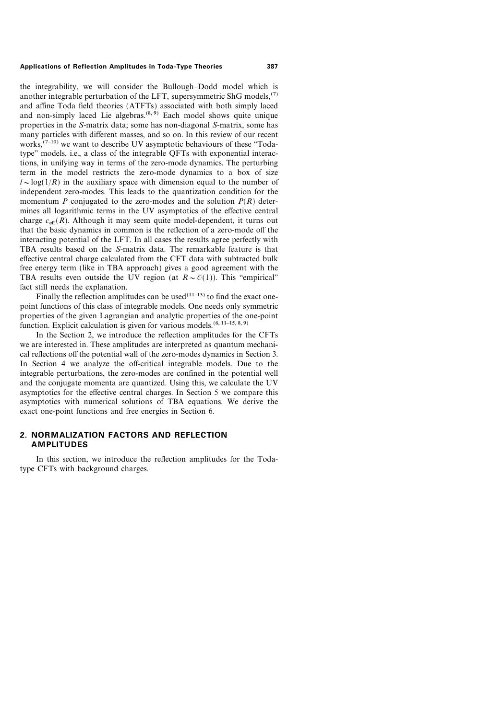the integrability, we will consider the Bullough-Dodd model which is another integrable perturbation of the LFT, supersymmetric ShG models, $(7)$ and affine Toda field theories (ATFTs) associated with both simply laced and non-simply laced Lie algebras. $(8, 9)$  Each model shows quite unique properties in the S-matrix data; some has non-diagonal S-matrix, some has many particles with different masses, and so on. In this review of our recent works,  $(7-10)$  we want to describe UV asymptotic behaviours of these "Todatype'' models, i.e., a class of the integrable QFTs with exponential interactions, in unifying way in terms of the zero-mode dynamics. The perturbing term in the model restricts the zero-mode dynamics to a box of size  $l \sim \log(1/R)$  in the auxiliary space with dimension equal to the number of independent zero-modes. This leads to the quantization condition for the momentum P conjugated to the zero-modes and the solution  $P(R)$  determines all logarithmic terms in the UV asymptotics of the effective central charge  $c_{\text{eff}}(R)$ . Although it may seem quite model-dependent, it turns out that the basic dynamics in common is the reflection of a zero-mode off the interacting potential of the LFT. In all cases the results agree perfectly with TBA results based on the S-matrix data. The remarkable feature is that effective central charge calculated from the CFT data with subtracted bulk free energy term (like in TBA approach) gives a good agreement with the TBA results even outside the UV region (at  $R \sim \mathcal{O}(1)$ ). This "empirical" fact still needs the explanation.

Finally the reflection amplitudes can be used  $(11-13)$  to find the exact onepoint functions of this class of integrable models. One needs only symmetric properties of the given Lagrangian and analytic properties of the one-point function. Explicit calculation is given for various models.<sup> $(6, 11-15, 8, 9)$ </sup>

In the Section 2, we introduce the reflection amplitudes for the CFTs we are interested in. These amplitudes are interpreted as quantum mechanical reflections off the potential wall of the zero-modes dynamics in Section 3. In Section 4 we analyze the off-critical integrable models. Due to the integrable perturbations, the zero-modes are confined in the potential well and the conjugate momenta are quantized. Using this, we calculate the UV asymptotics for the effective central charges. In Section 5 we compare this asymptotics with numerical solutions of TBA equations. We derive the exact one-point functions and free energies in Section 6.

# 2. NORMALIZATION FACTORS AND REFLECTION AMPLITUDES

In this section, we introduce the reflection amplitudes for the Todatype CFTs with background charges.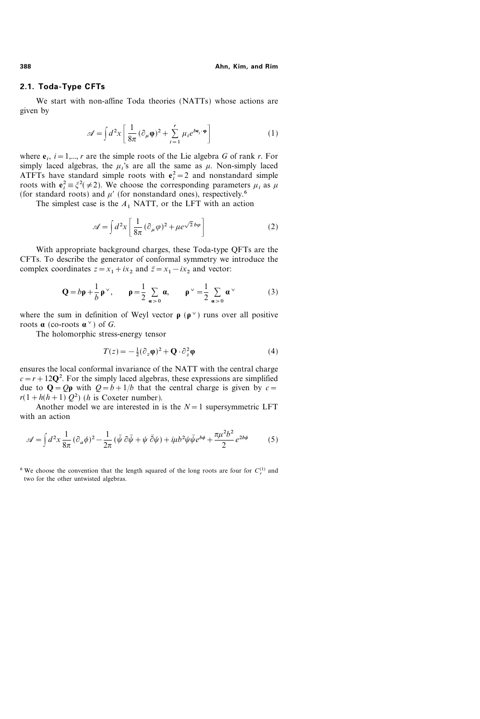# 2.1. Toda-Type CFTs

We start with non-affine Toda theories (NATTs) whose actions are given by

$$
\mathscr{A} = \int d^2x \left[ \frac{1}{8\pi} (\partial_\mu \varphi)^2 + \sum_{i=1}^r \mu_i e^{b \mathbf{e}_i \cdot \varphi} \right]
$$
 (1)

where  $e_i$ ,  $i=1,\dots, r$  are the simple roots of the Lie algebra G of rank r. For simply laced algebras, the  $\mu_i$ 's are all the same as  $\mu$ . Non-simply laced ATFTs have standard simple roots with  $e_i^2 = 2$  and nonstandard simple roots with  $e_i^2 = \xi^2 (\neq 2)$ . We choose the corresponding parameters  $\mu_i$  as  $\mu$ (for standard roots) and  $\mu'$  (for nonstandard ones), respectively.<sup>6</sup>

The simplest case is the  $A_1$  NATT, or the LFT with an action

$$
\mathscr{A} = \int d^2x \left[ \frac{1}{8\pi} (\partial_\mu \varphi)^2 + \mu e^{\sqrt{2} b \varphi} \right]
$$
 (2)

With appropriate background charges, these Toda-type QFTs are the CFTs. To describe the generator of conformal symmetry we introduce the complex coordinates  $z = x_1 + ix_2$  and  $\bar{z} = x_1 - ix_2$  and vector:

$$
\mathbf{Q} = b\mathbf{p} + \frac{1}{b}\mathbf{p}^{\vee}, \qquad \mathbf{p} = \frac{1}{2} \sum_{\alpha > 0} \alpha, \qquad \mathbf{p}^{\vee} = \frac{1}{2} \sum_{\alpha > 0} \alpha^{\vee} \tag{3}
$$

where the sum in definition of Weyl vector  $\rho$  ( $\rho^{\vee}$ ) runs over all positive roots  $\alpha$  (co-roots  $\alpha^{\vee}$ ) of G.

The holomorphic stress-energy tensor

$$
T(z) = -\frac{1}{2}(\partial_z \varphi)^2 + \mathbf{Q} \cdot \partial_z^2 \varphi \tag{4}
$$

ensures the local conformal invariance of the NATT with the central charge  $c = r + 12Q^2$ . For the simply laced algebras, these expressions are simplified due to  $\mathbf{Q} = Q\mathbf{p}$  with  $Q = b + 1/b$  that the central charge is given by  $c =$  $r(1 + h(h+1) Q^2)$  (*h* is Coxeter number).

Another model we are interested in is the  $N=1$  supersymmetric LFT with an action

$$
\mathcal{A} = \int d^2x \frac{1}{8\pi} (\partial_a \phi)^2 - \frac{1}{2\pi} (\bar{\psi} \partial \bar{\psi} + \psi \bar{\partial} \psi) + i\mu b^2 \psi \bar{\psi} e^{b\phi} + \frac{\pi \mu^2 b^2}{2} e^{2b\phi} \tag{5}
$$

<sup>6</sup> We choose the convention that the length squared of the long roots are four for  $C_r^{(1)}$  and two for the other untwisted algebras.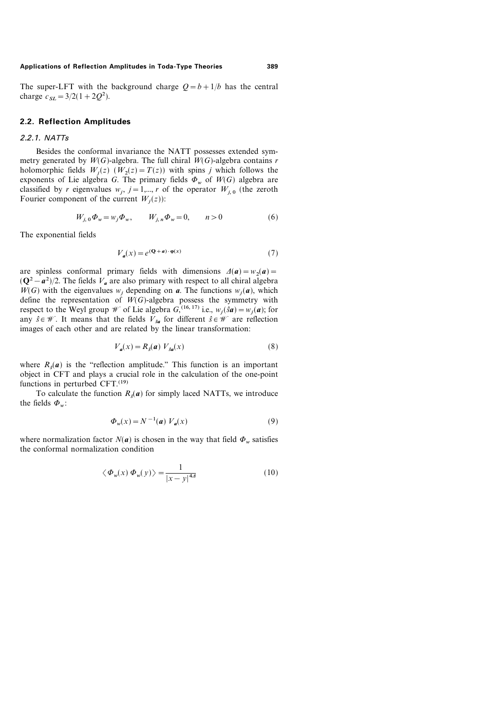The super-LFT with the background charge  $Q = b + 1/b$  has the central charge  $c_{SL} = 3/2(1 + 2Q^2)$ .

# 2.2. Reflection Amplitudes

#### 2.2.1. NATTs

Besides the conformal invariance the NATT possesses extended symmetry generated by  $W(G)$ -algebra. The full chiral  $W(G)$ -algebra contains r holomorphic fields  $W_i(z)$   $(W_2(z) = T(z))$  with spins j which follows the exponents of Lie algebra G. The primary fields  $\Phi_w$  of  $W(G)$  algebra are classified by r eigenvalues  $w_i$ ,  $j=1,\dots, r$  of the operator  $W_{i,0}$  (the zeroth Fourier component of the current  $W_i(z)$ :

$$
W_{j,0}\Phi_w = w_j \Phi_w, \qquad W_{j,n}\Phi_w = 0, \qquad n > 0 \tag{6}
$$

The exponential fields

$$
V_a(x) = e^{(\mathbf{Q} + a) \cdot \varphi(x)}\tag{7}
$$

are spinless conformal primary fields with dimensions  $\Delta(\mathbf{a})=w_2(\mathbf{a})=$  $(Q^2 - a^2)/2$ . The fields  $V_a$  are also primary with respect to all chiral algebra  $W(G)$  with the eigenvalues w<sub>i</sub> depending on **a**. The functions  $w_i(a)$ , which define the representation of  $W(G)$ -algebra possess the symmetry with respect to the Weyl group *W* of Lie algebra  $G$ , <sup>(16, 17)</sup> i.e.,  $w_j(\hat{s}\mathbf{a})=w_j(\mathbf{a})$ ; for any  $\hat{s} \in \mathcal{W}$ . It means that the fields  $V_{s\alpha}$  for different  $\hat{s} \in \mathcal{W}$  are reflection images of each other and are related by the linear transformation:

$$
V_a(x) = R_s(a) V_{sa}(x)
$$
 (8)

where  $R_{\epsilon}(\boldsymbol{a})$  is the "reflection amplitude." This function is an important object in CFT and plays a crucial role in the calculation of the one-point functions in perturbed  $CFT$ .<sup>(19)</sup>

To calculate the function  $R_s(a)$  for simply laced NATTs, we introduce the fields  $\Phi_w$ :

$$
\Phi_w(x) = N^{-1}(a) V_a(x) \tag{9}
$$

where normalization factor  $N(a)$  is chosen in the way that field  $\Phi_w$  satisfies the conformal normalization condition

$$
\langle \Phi_w(x) \Phi_w(y) \rangle = \frac{1}{|x - y|^{4d}} \tag{10}
$$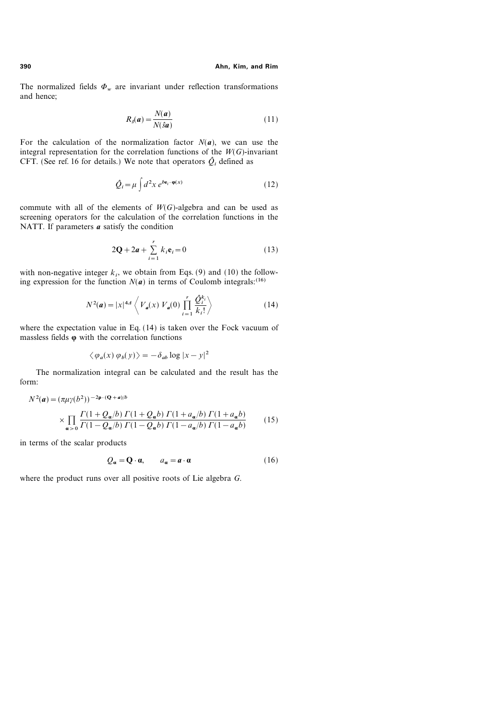The normalized fields  $\Phi_w$  are invariant under reflection transformations and hence;

$$
R_s(a) = \frac{N(a)}{N(\hat{s}a)}\tag{11}
$$

For the calculation of the normalization factor  $N(a)$ , we can use the integral representation for the correlation functions of the  $W(G)$ -invariant CFT. (See ref. 16 for details.) We note that operators  $\hat{Q}_i$  defined as

$$
\hat{Q}_i = \mu \int d^2x \, e^{b\mathbf{e}_i \cdot \mathbf{\varphi}(x)} \tag{12}
$$

commute with all of the elements of  $W(G)$ -algebra and can be used as screening operators for the calculation of the correlation functions in the NATT. If parameters  $\boldsymbol{a}$  satisfy the condition

$$
2\mathbf{Q} + 2a + \sum_{i=1}^{r} k_i \mathbf{e}_i = 0 \tag{13}
$$

with non-negative integer  $k_i$ , we obtain from Eqs. (9) and (10) the following expression for the function  $N(a)$  in terms of Coulomb integrals:<sup>(16)</sup>

$$
N^{2}(\mathbf{a}) = |x|^{4d} \left\langle V_{\mathbf{a}}(x) V_{\mathbf{a}}(0) \prod_{i=1}^{r} \frac{\hat{Q}_{i}^{k_{i}}}{k_{i}!} \right\rangle
$$
 (14)

where the expectation value in Eq. (14) is taken over the Fock vacuum of massless fields  $\varphi$  with the correlation functions

$$
\langle \varphi_a(x) \varphi_b(y) \rangle = -\delta_{ab} \log |x - y|^2
$$

The normalization integral can be calculated and the result has the form:

$$
N^{2}(a) = (\pi \mu \gamma(b^{2}))^{-2\rho \cdot (Q+a)/b}
$$
  
 
$$
\times \prod_{\alpha > 0} \frac{\Gamma(1 + Q_{\alpha}/b) \Gamma(1 + Q_{\alpha}b) \Gamma(1 + a_{\alpha}/b) \Gamma(1 + a_{\alpha}b)}{\Gamma(1 - Q_{\alpha}/b) \Gamma(1 - Q_{\alpha}b) \Gamma(1 - a_{\alpha}/b) \Gamma(1 - a_{\alpha}b)} \qquad (15)
$$

in terms of the scalar products

$$
Q_{\alpha} = \mathbf{Q} \cdot \mathbf{\alpha}, \qquad a_{\alpha} = a \cdot \mathbf{\alpha} \tag{16}
$$

where the product runs over all positive roots of Lie algebra G.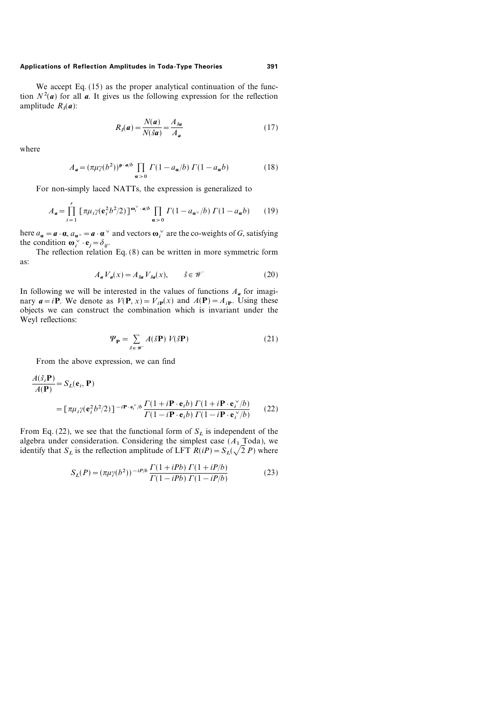We accept Eq. (15) as the proper analytical continuation of the function  $N^2(a)$  for all a. It gives us the following expression for the reflection amplitude  $R_{\epsilon}(a)$ :

$$
R_{\rm s}(\mathbf{a}) = \frac{N(\mathbf{a})}{N(\hat{s}\mathbf{a})} = \frac{A_{\hat{s}\mathbf{a}}}{A_{\mathbf{a}}} \tag{17}
$$

where

$$
A_a = (\pi \mu \gamma(b^2))^{\rho \cdot a/b} \prod_{\alpha > 0} \Gamma(1 - a_{\alpha}/b) \Gamma(1 - a_{\alpha}b) \tag{18}
$$

For non-simply laced NATTs, the expression is generalized to

$$
A_{\mathbf{a}} = \prod_{i=1}^{r} \left[ \pi \mu_i \gamma (\mathbf{e}_i^2 b^2 / 2) \right]^{\omega_i^{\vee} \cdot \mathbf{a}/b} \prod_{\alpha > 0} \Gamma(1 - a_{\alpha^{\vee}} / b) \Gamma(1 - a_{\alpha} b) \tag{19}
$$

here  $a_{\bf{a}} = \bf{a} \cdot \bf{a}$ ,  $a_{\bf{a}} \cdot \bf{a} \cdot \bf{a}$  and vectors  $\bf{\omega}$  are the co-weights of G, satisfying the condition  $\mathbf{\omega}_i^{\vee} \cdot \mathbf{e}_j = \delta_{ij}$ .

The reflection relation Eq. (8) can be written in more symmetric form as:

$$
A_{a}V_{a}(x) = A_{sa}V_{sa}(x), \qquad \hat{s} \in \mathcal{W}
$$
 (20)

In following we will be interested in the values of functions  $A_{\mathbf{a}}$  for imaginary  $a=iP$ . We denote as  $V(P, x) = V_{ip}(x)$  and  $A(P) = A_{ip}$ . Using these objects we can construct the combination which is invariant under the Weyl reflections:

$$
\Psi_{\mathbf{P}} = \sum_{\hat{s} \in \mathscr{W}} A(\hat{s} \mathbf{P}) \ V(\hat{s} \mathbf{P}) \tag{21}
$$

From the above expression, we can find

$$
\frac{A(\hat{s}_i \mathbf{P})}{A(\mathbf{P})} = S_L(\mathbf{e}_i, \mathbf{P})
$$
  
=  $\left[ \pi \mu_i \gamma (\mathbf{e}_i^2 b^2 / 2) \right]^{-i \mathbf{P} \cdot \mathbf{e}_i^{\vee} / b} \frac{\Gamma(1 + i \mathbf{P} \cdot \mathbf{e}_i b) \Gamma(1 + i \mathbf{P} \cdot \mathbf{e}_i^{\vee} / b)}{\Gamma(1 - i \mathbf{P} \cdot \mathbf{e}_i b) \Gamma(1 - i \mathbf{P} \cdot \mathbf{e}_i^{\vee} / b)}$  (22)

From Eq. (22), we see that the functional form of  $S_L$  is independent of the algebra under consideration. Considering the simplest case  $(A_1 \text{ Toda})$ , we identify that  $S_L$  is the reflection amplitude of LFT  $R(iP) = S_L(\sqrt{2} P)$  where

$$
S_L(P) = (\pi \mu \gamma(b^2))^{-iP/b} \frac{\Gamma(1+iPb) \Gamma(1+iP/b)}{\Gamma(1-iPb) \Gamma(1-iP/b)}
$$
(23)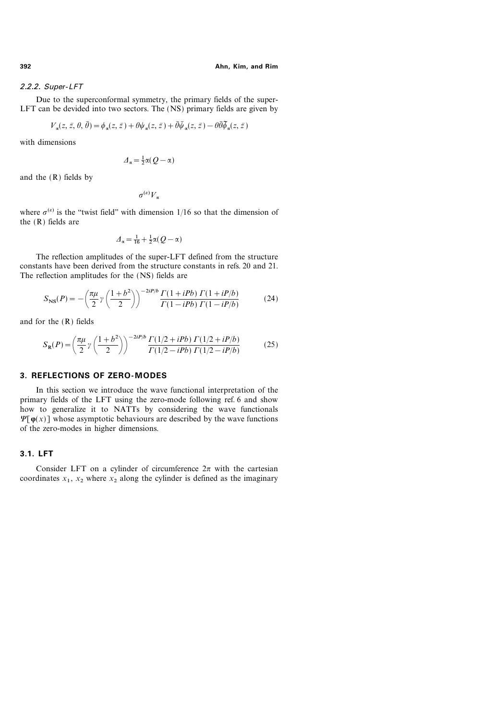#### 2.2.2. Super-LFT

Due to the superconformal symmetry, the primary fields of the super-LFT can be devided into two sectors. The (NS) primary fields are given by

$$
V_{\alpha}(z, \bar{z}, \theta, \theta) = \phi_{\alpha}(z, \bar{z}) + \theta \psi_{\alpha}(z, \bar{z}) + \theta \psi_{\alpha}(z, \bar{z}) - \theta \theta \phi_{\alpha}(z, \bar{z})
$$

with dimensions

$$
\varDelta_{\alpha} = \frac{1}{2}\alpha(Q - \alpha)
$$

and the (R) fields by

 $\sigma^{(\varepsilon)}V_{\alpha}$ 

where  $\sigma^{(e)}$  is the "twist field" with dimension 1/16 so that the dimension of the (R) fields are

$$
\varDelta_{\alpha} = \tfrac{1}{16} + \tfrac{1}{2}\alpha(Q - \alpha)
$$

The reflection amplitudes of the super-LFT defined from the structure constants have been derived from the structure constants in refs. 20 and 21. The reflection amplitudes for the (NS) fields are

$$
S_{\rm NS}(P) = -\left(\frac{\pi\mu}{2}\gamma\left(\frac{1+b^2}{2}\right)\right)^{-2iP/b}\frac{\Gamma(1+iPb)\,\Gamma(1+iP/b)}{\Gamma(1-iPb)\,\Gamma(1-iP/b)}\tag{24}
$$

and for the (R) fields

$$
S_{\mathbf{R}}(P) = \left(\frac{\pi\mu}{2}\gamma\left(\frac{1+b^2}{2}\right)\right)^{-2iP/b}\frac{\Gamma(1/2+iPb)\Gamma(1/2+iP/b)}{\Gamma(1/2-iPb)\Gamma(1/2-iP/b)}\tag{25}
$$

# 3. REFLECTIONS OF ZERO-MODES

In this section we introduce the wave functional interpretation of the primary fields of the LFT using the zero-mode following ref. 6 and show how to generalize it to NATTs by considering the wave functionals  $\Psi[\varphi(x)]$  whose asymptotic behaviours are described by the wave functions of the zero-modes in higher dimensions.

# 3.1. LFT

Consider LFT on a cylinder of circumference  $2\pi$  with the cartesian coordinates  $x_1$ ,  $x_2$  where  $x_2$  along the cylinder is defined as the imaginary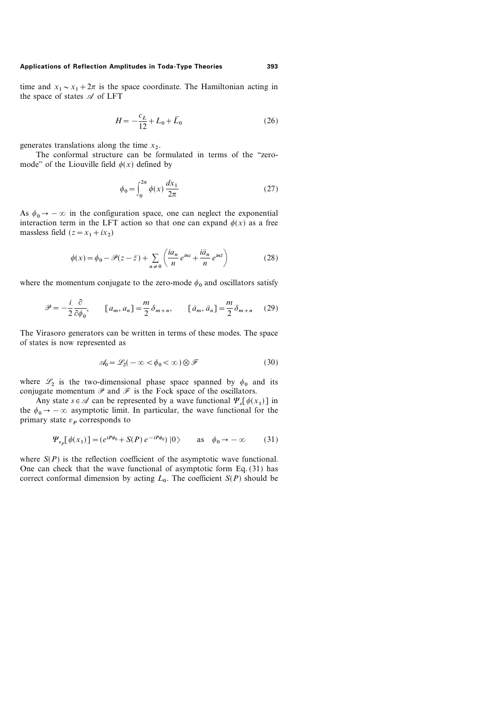time and  $x_1 \sim x_1 + 2\pi$  is the space coordinate. The Hamiltonian acting in the space of states  $\mathscr A$  of LFT

$$
H = -\frac{c_L}{12} + L_0 + \bar{L}_0 \tag{26}
$$

generates translations along the time  $x<sub>2</sub>$ .

The conformal structure can be formulated in terms of the "zeromode" of the Liouville field  $\phi(x)$  defined by

$$
\phi_0 = \int_0^{2\pi} \phi(x) \frac{dx_1}{2\pi}
$$
\n(27)

As  $\phi_0 \rightarrow -\infty$  in the configuration space, one can neglect the exponential interaction term in the LFT action so that one can expand  $\phi(x)$  as a free massless field  $(z=x_1+ix_2)$ 

$$
\phi(x) = \phi_0 - \mathcal{P}(z - \bar{z}) + \sum_{n \neq 0} \left( \frac{ia_n}{n} e^{inz} + \frac{i\bar{a}_n}{n} e^{inz} \right)
$$
(28)

where the momentum conjugate to the zero-mode  $\phi_0$  and oscillators satisfy

$$
\mathcal{P} = -\frac{i}{2} \frac{\partial}{\partial \phi_0}, \qquad [a_m, a_n] = \frac{m}{2} \delta_{m+n}, \qquad [\bar{a}_m, \bar{a}_n] = \frac{m}{2} \delta_{m+n} \qquad (29)
$$

The Virasoro generators can be written in terms of these modes. The space of states is now represented as

$$
\mathcal{A}_0 = \mathcal{L}_2(-\infty < \phi_0 < \infty) \otimes \mathcal{F} \tag{30}
$$

where  $\mathcal{L}_2$  is the two-dimensional phase space spanned by  $\phi_0$  and its conjugate momentum  $\mathscr P$  and  $\mathscr F$  is the Fock space of the oscillators.

Any state  $s \in \mathcal{A}$  can be represented by a wave functional  $\Psi_s[\phi(x_1)]$  in the  $\phi_0 \rightarrow -\infty$  asymptotic limit. In particular, the wave functional for the primary state  $v_P$  corresponds to

$$
\Psi_{v_p}[\phi(x_1)] = (e^{iP\phi_0} + S(P) e^{-iP\phi_0}) |0\rangle \quad \text{as} \quad \phi_0 \to -\infty \quad (31)
$$

where  $S(P)$  is the reflection coefficient of the asymptotic wave functional. One can check that the wave functional of asymptotic form Eq. (31) has correct conformal dimension by acting  $L_0$ . The coefficient  $S(P)$  should be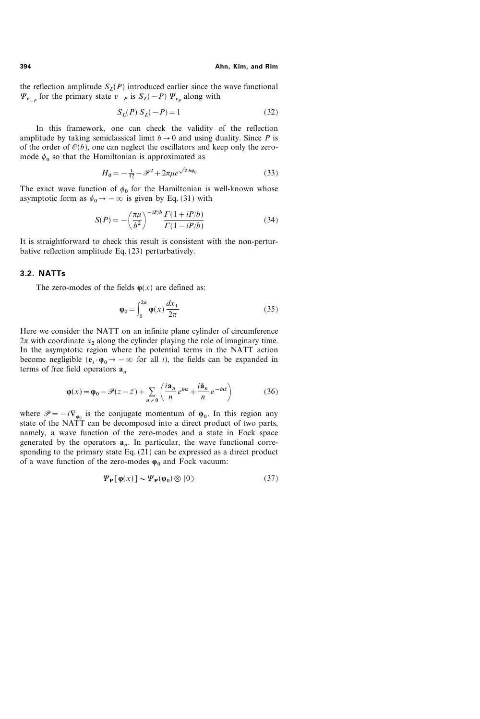the reflection amplitude  $S_L(P)$  introduced earlier since the wave functional  $\Psi_{v}$  for the primary state  $v_{-P}$  is  $S_L(-P)$   $\Psi_{v}$  along with

$$
S_L(P) S_L(-P) = 1
$$
\n(32)

In this framework, one can check the validity of the reflection amplitude by taking semiclassical limit  $b \rightarrow 0$  and using duality. Since P is of the order of  $\mathcal{O}(b)$ , one can neglect the oscillators and keep only the zeromode  $\phi_0$  so that the Hamiltonian is approximated as

$$
H_0 = -\frac{1}{12} - \mathcal{P}^2 + 2\pi\mu e^{\sqrt{2}b\phi_0}
$$
 (33)

The exact wave function of  $\phi_0$  for the Hamiltonian is well-known whose asymptotic form as  $\phi_0 \rightarrow -\infty$  is given by Eq. (31) with

$$
S(P) = -\left(\frac{\pi\mu}{b^2}\right)^{-iP/b} \frac{\Gamma(1+iP/b)}{\Gamma(1-iP/b)}
$$
(34)

It is straightforward to check this result is consistent with the non-perturbative reflection amplitude Eq. (23) perturbatively.

### 3.2. NATTs

The zero-modes of the fields  $\varphi(x)$  are defined as:

$$
\varphi_0 = \int_0^{2\pi} \varphi(x) \frac{dx_1}{2\pi} \tag{35}
$$

Here we consider the NATT on an infinite plane cylinder of circumference  $2\pi$  with coordinate  $x_2$  along the cylinder playing the role of imaginary time. In the asymptotic region where the potential terms in the NATT action become negligible  $(e_i \cdot \phi_0 \rightarrow -\infty$  for all *i*), the fields can be expanded in terms of free field operators  $a_n$ 

$$
\varphi(x) = \varphi_0 - \mathcal{P}(z - \bar{z}) + \sum_{n \neq 0} \left( \frac{i \mathbf{a}_n}{n} e^{inz} + \frac{i \bar{\mathbf{a}}_n}{n} e^{-in\bar{z}} \right)
$$
(36)

where  $\mathscr{P}=-i\nabla_{\varphi_0}$  is the conjugate momentum of  $\varphi_0$ . In this region any state of the NATT can be decomposed into a direct product of two parts, namely, a wave function of the zero-modes and a state in Fock space generated by the operators  $a_n$ . In particular, the wave functional corresponding to the primary state Eq.  $(21)$  can be expressed as a direct product of a wave function of the zero-modes  $\varphi_0$  and Fock vacuum:

$$
\Psi_{\mathbf{P}}[\varphi(x)] \sim \Psi_{\mathbf{P}}(\varphi_0) \otimes |0\rangle \tag{37}
$$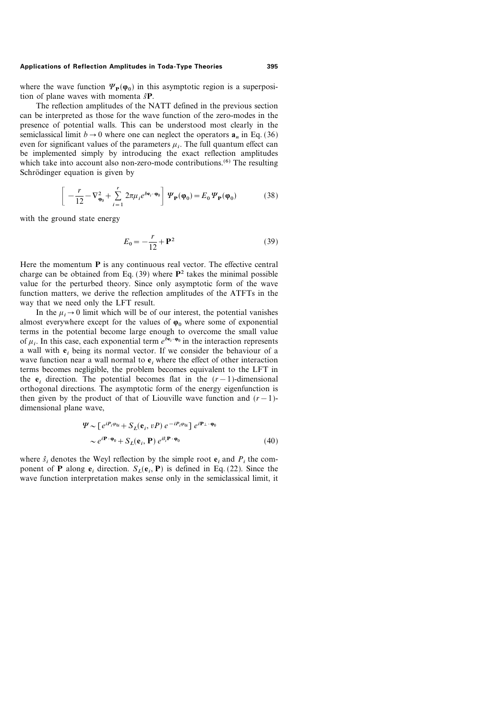where the wave function  $\Psi_{\mathbf{p}}(\varphi_0)$  in this asymptotic region is a superposition of plane waves with momenta  $\hat{s}P$ .

The reflection amplitudes of the NATT defined in the previous section can be interpreted as those for the wave function of the zero-modes in the presence of potential walls. This can be understood most clearly in the semiclassical limit  $b \rightarrow 0$  where one can neglect the operators  $a_n$  in Eq. (36) even for significant values of the parameters  $\mu_i$ . The full quantum effect can be implemented simply by introducing the exact reflection amplitudes which take into account also non-zero-mode contributions.<sup>(6)</sup> The resulting Schrödinger equation is given by

$$
\left[ \ -\frac{r}{12} - \nabla_{\mathbf{\varphi}_0}^2 + \sum_{i=1}^r 2\pi \mu_i e^{b\mathbf{e}_i \cdot \mathbf{\varphi}_0} \right] \, \Psi_{\mathbf{P}}(\mathbf{\varphi}_0) = E_0 \, \Psi_{\mathbf{P}}(\mathbf{\varphi}_0) \tag{38}
$$

with the ground state energy

$$
E_0 = -\frac{r}{12} + \mathbf{P}^2 \tag{39}
$$

Here the momentum  $P$  is any continuous real vector. The effective central charge can be obtained from Eq.  $(39)$  where  $\mathbb{P}^2$  takes the minimal possible value for the perturbed theory. Since only asymptotic form of the wave function matters, we derive the reflection amplitudes of the ATFTs in the way that we need only the LFT result.

In the  $\mu_i \rightarrow 0$  limit which will be of our interest, the potential vanishes almost everywhere except for the values of  $\varphi_0$  where some of exponential terms in the potential become large enough to overcome the small value of  $\mu_i$ . In this case, each exponential term  $e^{\overline{b} \cdot \phi_0}$  in the interaction represents a wall with  $e_i$ , being its normal vector. If we consider the behaviour of a wave function near a wall normal to  $e_i$ , where the effect of other interaction terms becomes negligible, the problem becomes equivalent to the LFT in the  $e_i$  direction. The potential becomes flat in the  $(r-1)$ -dimensional orthogonal directions. The asymptotic form of the energy eigenfunction is then given by the product of that of Liouville wave function and  $(r-1)$ dimensional plane wave,

$$
\Psi \sim [e^{iP_i \varphi_{0i}} + S_L(\mathbf{e}_i, vP) e^{-iP_i \varphi_{0i}}] e^{i\mathbf{P}_\perp \cdot \mathbf{\varphi}_0}
$$
  
 
$$
\sim e^{i\mathbf{P} \cdot \mathbf{\varphi}_0} + S_L(\mathbf{e}_i, \mathbf{P}) e^{i\hat{\mathbf{s}}_i \mathbf{P} \cdot \mathbf{\varphi}_0}
$$
 (40)

where  $\hat{s}$ , denotes the Weyl reflection by the simple root  $e_i$ , and  $P_i$ , the component of **P** along  $e_i$ , direction.  $S_i(e_i, P)$  is defined in Eq. (22). Since the wave function interpretation makes sense only in the semiclassical limit, it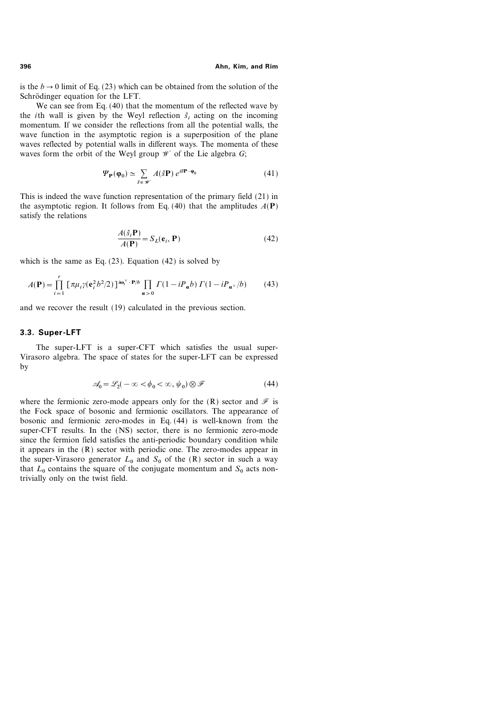is the  $b \rightarrow 0$  limit of Eq. (23) which can be obtained from the solution of the Schrödinger equation for the LFT.

We can see from Eq. (40) that the momentum of the reflected wave by the *i*th wall is given by the Weyl reflection  $\hat{s}_i$  acting on the incoming momentum. If we consider the reflections from all the potential walls, the wave function in the asymptotic region is a superposition of the plane waves reflected by potential walls in different ways. The momenta of these waves form the orbit of the Weyl group  $W$  of the Lie algebra G;

$$
\Psi_{\mathbf{P}}(\varphi_0) \simeq \sum_{\hat{s} \in \mathscr{W}} A(\hat{s} \mathbf{P}) e^{i\hat{s} \mathbf{P} \cdot \varphi_0}
$$
(41)

This is indeed the wave function representation of the primary field (21) in the asymptotic region. It follows from Eq. (40) that the amplitudes  $A(\mathbf{P})$ satisfy the relations

$$
\frac{A(\hat{s}_i \mathbf{P})}{A(\mathbf{P})} = S_L(\mathbf{e}_i, \mathbf{P})
$$
\n(42)

which is the same as Eq.  $(23)$ . Equation  $(42)$  is solved by

$$
A(\mathbf{P}) = \prod_{i=1}^{r} \left[ \pi \mu_i \gamma(\mathbf{e}_i^2 b^2 / 2) \right] \omega_i^{\omega_i} \cdot \mathbf{P}/b \prod_{\alpha > 0} \Gamma(1 - i P_{\alpha} b) \Gamma(1 - i P_{\alpha^{\vee}} / b) \tag{43}
$$

and we recover the result (19) calculated in the previous section.

### 3.3. Super-LFT

The super-LFT is a super-CFT which satisfies the usual super-Virasoro algebra. The space of states for the super-LFT can be expressed by

$$
\mathcal{A}_0 = \mathcal{L}_2(-\infty < \phi_0 < \infty, \psi_0) \otimes \mathcal{F} \tag{44}
$$

where the fermionic zero-mode appears only for the  $(R)$  sector and  $\mathcal F$  is the Fock space of bosonic and fermionic oscillators. The appearance of bosonic and fermionic zero-modes in Eq. (44) is well-known from the super-CFT results. In the (NS) sector, there is no fermionic zero-mode since the fermion field satisfies the anti-periodic boundary condition while it appears in the (R) sector with periodic one. The zero-modes appear in the super-Virasoro generator  $L_0$  and  $S_0$  of the (R) sector in such a way that  $L_0$  contains the square of the conjugate momentum and  $S_0$  acts nontrivially only on the twist field.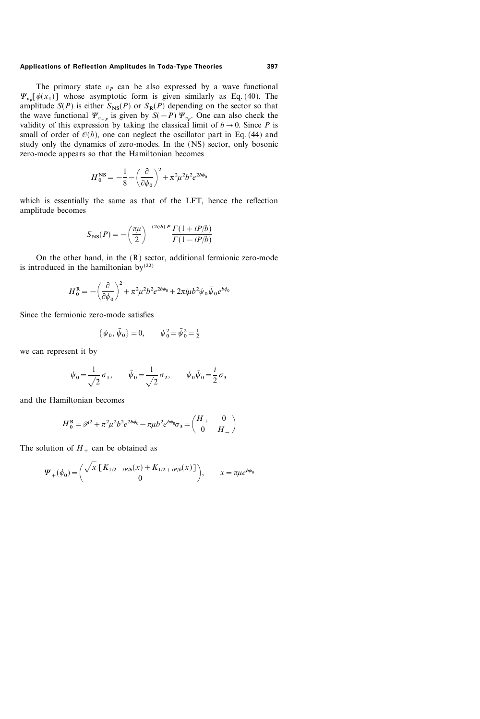The primary state  $v_p$  can be also expressed by a wave functional  $\Psi_{v_p}[\phi(x_1)]$  whose asymptotic form is given similarly as Eq. (40). The amplitude  $S(P)$  is either  $S_{NS}(P)$  or  $S_R(P)$  depending on the sector so that the wave functional  $\Psi_{v_{-p}}$  is given by  $S(-P) \Psi_{v_{n}}$ . One can also check the validity of this expression by taking the classical limit of  $b \rightarrow 0$ . Since P is small of order of  $\mathcal{O}(b)$ , one can neglect the oscillator part in Eq. (44) and study only the dynamics of zero-modes. In the (NS) sector, only bosonic zero-mode appears so that the Hamiltonian becomes

$$
H_0^{\text{NS}} = -\frac{1}{8} - \left(\frac{\partial}{\partial \phi_0}\right)^2 + \pi^2 \mu^2 b^2 e^{2b\phi_0}
$$

which is essentially the same as that of the LFT, hence the reflection amplitude becomes

$$
S_{\rm NS}(P) = -\left(\frac{\pi\mu}{2}\right)^{-(2i/b) P} \frac{\Gamma(1 + iP/b)}{\Gamma(1 - iP/b)}
$$

On the other hand, in the  $(R)$  sector, additional fermionic zero-mode is introduced in the hamiltonian by<sup>(22)</sup>

$$
H_0^{\mathbf{R}} = -\left(\frac{\partial}{\partial \phi_0}\right)^2 + \pi^2 \mu^2 b^2 e^{2b\phi_0} + 2\pi i \mu b^2 \psi_0 \bar{\psi}_0 e^{b\phi_0}
$$

Since the fermionic zero-mode satisfies

$$
\{\psi_0, \bar{\psi}_0\} = 0, \qquad \psi_0^2 = \bar{\psi}_0^2 = \frac{1}{2}
$$

we can represent it by

$$
\psi_0 = \frac{1}{\sqrt{2}} \sigma_1
$$
,  $\bar{\psi}_0 = \frac{1}{\sqrt{2}} \sigma_2$ ,  $\psi_0 \bar{\psi}_0 = \frac{i}{2} \sigma_3$ 

and the Hamiltonian becomes

$$
H_0^{\mathbf{R}} = \mathcal{P}^2 + \pi^2 \mu^2 b^2 e^{2b\phi_0} - \pi \mu b^2 e^{b\phi_0} \sigma_3 = \begin{pmatrix} H_+ & 0 \\ 0 & H_- \end{pmatrix}
$$

The solution of  $H_+$  can be obtained as

$$
\Psi_{+}(\phi_{0}) = \begin{pmatrix} \sqrt{x} \left[ K_{1/2 - iP/b}(x) + K_{1/2 + iP/b}(x) \right] \\ 0 \end{pmatrix}, \qquad x = \pi \mu e^{b\phi_{0}}
$$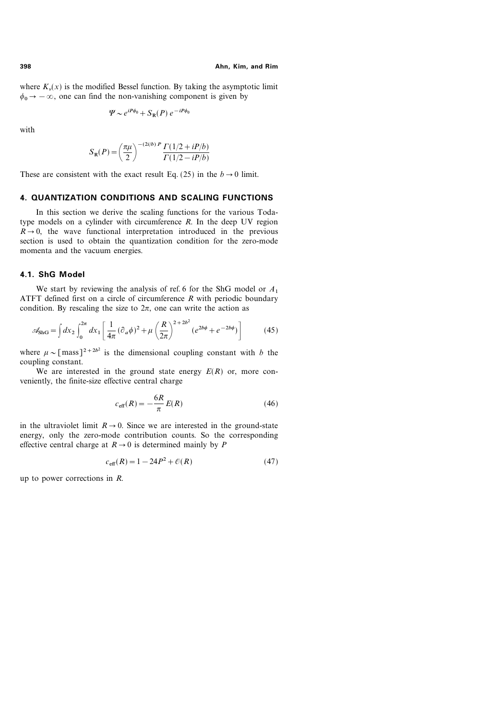where  $K_{v}(x)$  is the modified Bessel function. By taking the asymptotic limit  $\phi_0 \rightarrow -\infty$ , one can find the non-vanishing component is given by

$$
\Psi \sim e^{iP\phi_0} + S_{\mathbb{R}}(P) e^{-iP\phi_0}
$$

with

$$
S_{R}(P) = \left(\frac{\pi\mu}{2}\right)^{-(2i/b) P} \frac{\Gamma(1/2 + iP/b)}{\Gamma(1/2 - iP/b)}
$$

These are consistent with the exact result Eq. (25) in the  $b \rightarrow 0$  limit.

# 4. QUANTIZATION CONDITIONS AND SCALING FUNCTIONS

In this section we derive the scaling functions for the various Todatype models on a cylinder with circumference  $R$ . In the deep UV region  $R\rightarrow 0$ , the wave functional interpretation introduced in the previous section is used to obtain the quantization condition for the zero-mode momenta and the vacuum energies.

### 4.1. ShG Model

We start by reviewing the analysis of ref. 6 for the ShG model or  $A_1$ ATFT defined first on a circle of circumference  $R$  with periodic boundary condition. By rescaling the size to  $2\pi$ , one can write the action as

$$
\mathscr{A}_{\text{ShG}} = \int dx_2 \int_0^{2\pi} dx_1 \left[ \frac{1}{4\pi} (\partial_a \phi)^2 + \mu \left( \frac{R}{2\pi} \right)^{2+2b^2} (e^{2b\phi} + e^{-2b\phi}) \right] \tag{45}
$$

where  $\mu \sim [\text{mass}]^{2+2b^2}$  is the dimensional coupling constant with b the coupling constant.

We are interested in the ground state energy  $E(R)$  or, more conveniently, the finite-size effective central charge

$$
c_{\text{eff}}(R) = -\frac{6R}{\pi}E(R)
$$
\n(46)

in the ultraviolet limit  $R\rightarrow 0$ . Since we are interested in the ground-state energy, only the zero-mode contribution counts. So the corresponding effective central charge at  $R\rightarrow 0$  is determined mainly by P

$$
c_{\text{eff}}(R) = 1 - 24P^2 + \mathcal{O}(R) \tag{47}
$$

up to power corrections in R.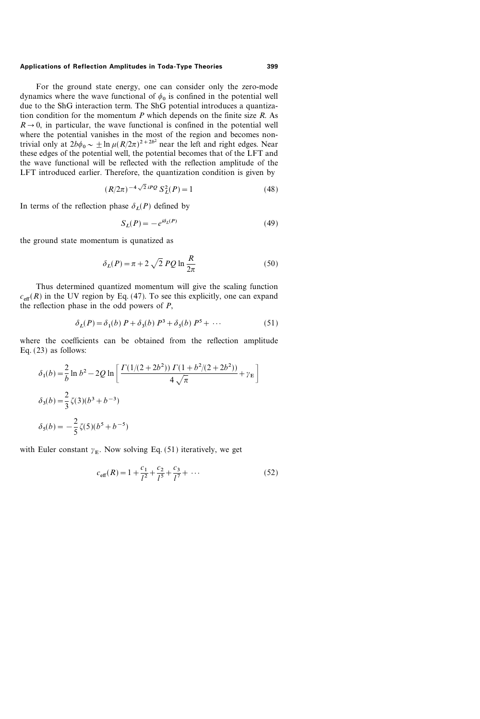For the ground state energy, one can consider only the zero-mode dynamics where the wave functional of  $\phi_0$  is confined in the potential well due to the ShG interaction term. The ShG potential introduces a quantization condition for the momentum  $P$  which depends on the finite size  $R$ . As  $R\rightarrow 0$ , in particular, the wave functional is confined in the potential well where the potential vanishes in the most of the region and becomes nontrivial only at  $2b\phi_0 \sim \pm \ln \mu (R/2\pi)^{2+2b^2}$  near the left and right edges. Near these edges of the potential well, the potential becomes that of the LFT and the wave functional will be reflected with the reflection amplitude of the LFT introduced earlier. Therefore, the quantization condition is given by

$$
(R/2\pi)^{-4\sqrt{2}iPQ} S_L^2(P) = 1
$$
 (48)

In terms of the reflection phase  $\delta_I(P)$  defined by

$$
S_L(P) = -e^{i\delta_L(P)}\tag{49}
$$

the ground state momentum is qunatized as

$$
\delta_L(P) = \pi + 2\sqrt{2} PQ \ln \frac{R}{2\pi}
$$
\n(50)

Thus determined quantized momentum will give the scaling function  $c_{\text{eff}}(R)$  in the UV region by Eq. (47). To see this explicitly, one can expand the reflection phase in the odd powers of  $P$ ,

$$
\delta_L(P) = \delta_1(b) \; P + \delta_3(b) \; P^3 + \delta_5(b) \; P^5 + \cdots \tag{51}
$$

where the coefficients can be obtained from the reflection amplitude Eq. (23) as follows:

$$
\delta_1(b) = \frac{2}{b} \ln b^2 - 2Q \ln \left[ \frac{\Gamma(1/(2+2b^2)) \Gamma(1+b^2/(2+2b^2))}{4\sqrt{\pi}} + \gamma_E \right]
$$
  

$$
\delta_3(b) = \frac{2}{3} \zeta(3)(b^3 + b^{-3})
$$
  

$$
\delta_5(b) = -\frac{2}{5} \zeta(5)(b^5 + b^{-5})
$$

with Euler constant  $\gamma_E$ . Now solving Eq. (51) iteratively, we get

$$
c_{\text{eff}}(R) = 1 + \frac{c_1}{l^2} + \frac{c_2}{l^5} + \frac{c_3}{l^7} + \dots \tag{52}
$$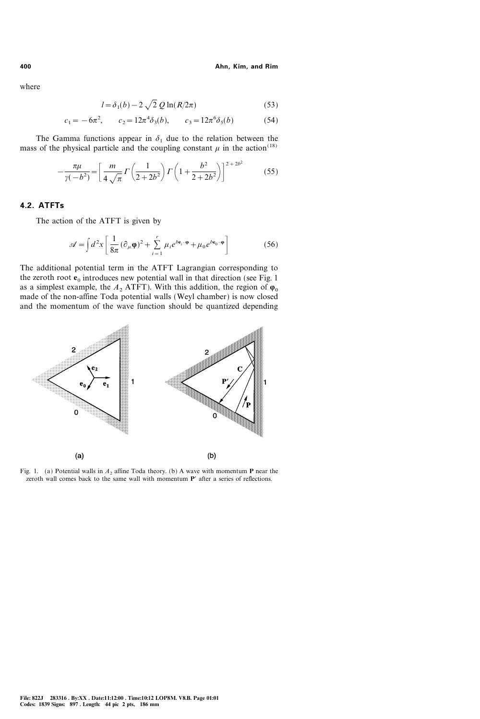where

$$
l = \delta_1(b) - 2\sqrt{2} \, Q \ln(R/2\pi) \tag{53}
$$

$$
c_1 = -6\pi^2
$$
,  $c_2 = 12\pi^4 \delta_3(b)$ ,  $c_3 = 12\pi^6 \delta_5(b)$  (54)

The Gamma functions appear in  $\delta_1$  due to the relation between the mass of the physical particle and the coupling constant  $\mu$  in the action<sup>(18)</sup>

$$
-\frac{\pi\mu}{\gamma(-b^2)} = \left[\frac{m}{4\sqrt{\pi}}\Gamma\left(\frac{1}{2+2b^2}\right)\Gamma\left(1+\frac{b^2}{2+2b^2}\right)\right]^{2+2b^2} \tag{55}
$$

### 4.2. ATFTs

The action of the ATFT is given by

$$
\mathscr{A} = \int d^2x \left[ \frac{1}{8\pi} (\partial_\mu \varphi)^2 + \sum_{i=1}^r \mu_i e^{b \mathbf{e}_i \cdot \varphi} + \mu_0 e^{b \mathbf{e}_0 \cdot \varphi} \right]
$$
(56)

The additional potential term in the ATFT Lagrangian corresponding to the zeroth root  $e_0$  introduces new potential wall in that direction (see Fig. 1) as a simplest example, the  $A_2$  ATFT). With this addition, the region of  $\varphi_0$ made of the non-affine Toda potential walls (Weyl chamber) is now closed and the momentum of the wave function should be quantized depending



Fig. 1. (a) Potential walls in  $A_2$  affine Toda theory. (b) A wave with momentum **P** near the zeroth wall comes back to the same wall with momentum  $P'$  after a series of reflections.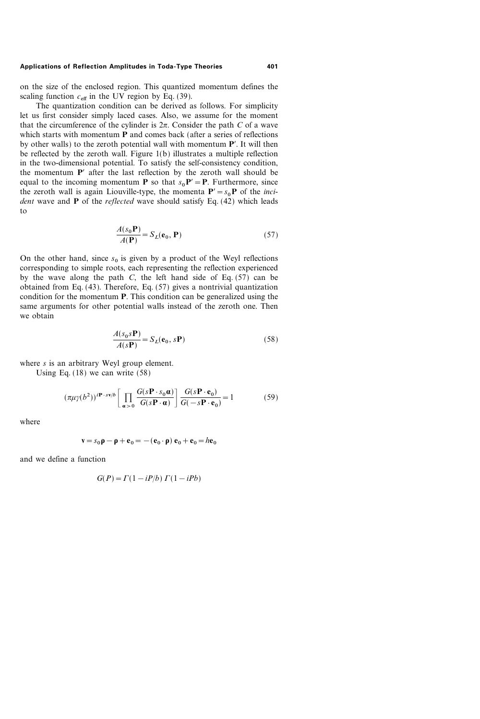on the size of the enclosed region. This quantized momentum defines the scaling function  $c_{\text{eff}}$  in the UV region by Eq. (39).

The quantization condition can be derived as follows. For simplicity let us first consider simply laced cases. Also, we assume for the moment that the circumference of the cylinder is  $2\pi$ . Consider the path C of a wave which starts with momentum **P** and comes back (after a series of reflections by other walls) to the zeroth potential wall with momentum  $P'$ . It will then be reflected by the zeroth wall. Figure 1(b) illustrates a multiple reflection in the two-dimensional potential. To satisfy the self-consistency condition, the momentum  $P'$  after the last reflection by the zeroth wall should be equal to the incoming momentum **P** so that  $s_0$ **P**' = **P**. Furthermore, since the zeroth wall is again Liouville-type, the momenta  $P' = s_0P$  of the *inci*dent wave and  $P$  of the *reflected* wave should satisfy Eq. (42) which leads to

$$
\frac{A(s_0 \mathbf{P})}{A(\mathbf{P})} = S_L(\mathbf{e}_0, \mathbf{P})
$$
\n(57)

On the other hand, since  $s_0$  is given by a product of the Weyl reflections corresponding to simple roots, each representing the reflection experienced by the wave along the path C, the left hand side of Eq.  $(57)$  can be obtained from Eq. (43). Therefore, Eq. (57) gives a nontrivial quantization condition for the momentum P. This condition can be generalized using the same arguments for other potential walls instead of the zeroth one. Then we obtain

$$
\frac{A(s_0 s \mathbf{P})}{A(s \mathbf{P})} = S_L(\mathbf{e}_0, s \mathbf{P})
$$
\n(58)

where *s* is an arbitrary Weyl group element.

Using Eq. (18) we can write (58)

$$
(\pi \mu \gamma(b^2))^{\mathbf{i} \mathbf{P} \cdot s \mathbf{v}/b} \left[ \prod_{\mathbf{a} > 0} \frac{G(s\mathbf{P} \cdot s_0 \mathbf{a})}{G(s\mathbf{P} \cdot \mathbf{a})} \right] \frac{G(s\mathbf{P} \cdot \mathbf{e}_0)}{G(-s\mathbf{P} \cdot \mathbf{e}_0)} = 1 \tag{59}
$$

where

$$
\mathbf{v} = s_0 \mathbf{p} - \mathbf{p} + \mathbf{e}_0 = -(\mathbf{e}_0 \cdot \mathbf{p}) \mathbf{e}_0 + \mathbf{e}_0 = h \mathbf{e}_0
$$

and we define a function

$$
G(P) = \Gamma(1 - iP/b) \Gamma(1 - iPb)
$$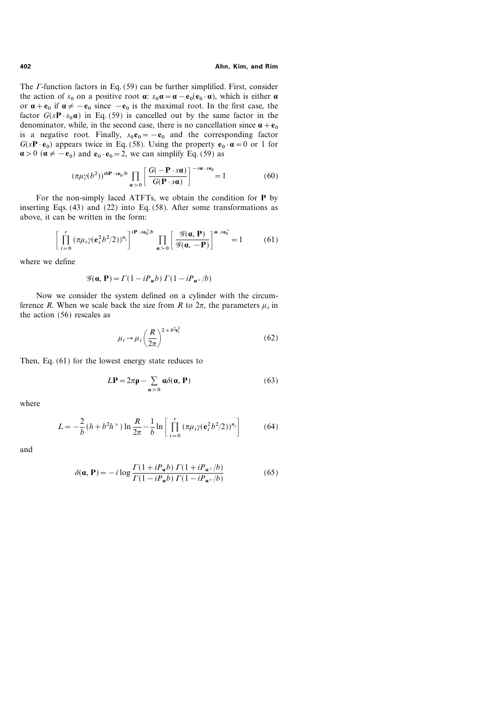The  $\Gamma$ -function factors in Eq. (59) can be further simplified. First, consider the action of  $s_0$  on a positive root  $\alpha$ :  $s_0 \alpha = \alpha - e_0(e_0 \cdot \alpha)$ , which is either  $\alpha$ or  ${\bf \alpha}+{\bf e}_0$  if  ${\bf \alpha}\neq -{\bf e}_0$  since  $-{\bf e}_0$  is the maximal root. In the first case, the factor  $G(sP \tcdot s_0 \alpha)$  in Eq. (59) is cancelled out by the same factor in the denominator, while, in the second case, there is no cancellation since  $\alpha + e_0$ is a negative root. Finally,  $s_0 \mathbf{e}_0 = -\mathbf{e}_0$  and the corresponding factor  $G(sP \cdot e_0)$  appears twice in Eq. (58). Using the property  $e_0 \cdot \alpha = 0$  or 1 for  $\alpha > 0$  ( $\alpha \neq -e_0$ ) and  $e_0 \cdot e_0 = 2$ , we can simplify Eq. (59) as

$$
(\pi \mu \gamma(b^2))^{\textit{i}h\mathbf{P} \cdot s\mathbf{e}_0/b} \prod_{\mathbf{a} > 0} \left[ \frac{G(-\mathbf{P} \cdot s\mathbf{a})}{G(\mathbf{P} \cdot s\mathbf{a})} \right]^{-s\mathbf{a} \cdot s\mathbf{e}_0} = 1 \tag{60}
$$

For the non-simply laced ATFTs, we obtain the condition for P by inserting Eqs. (43) and (22) into Eq. (58). After some transformations as above, it can be written in the form:

$$
\left[\prod_{i=0}^{r} \left(\pi \mu_i \gamma (\mathbf{e}_i^2 b^2 / 2)\right)^{n_i}\right]^{i\mathbf{P} \cdot s\mathbf{e}_0^{\vee}/b} \prod_{\mathbf{a} > 0} \left[\frac{\mathcal{G}(\mathbf{a}, \mathbf{P})}{\mathcal{G}(\mathbf{a}, -\mathbf{P})}\right]^{\mathbf{a} \cdot s\mathbf{e}_0^{\vee}} = 1 \tag{61}
$$

where we define

$$
\mathcal{G}(\mathbf{a}, \mathbf{P}) = \Gamma(1 - iP_{\mathbf{a}}b) \Gamma(1 - iP_{\mathbf{a}^{\vee}}/b)
$$

Now we consider the system defined on a cylinder with the circumference R. When we scale back the size from R to  $2\pi$ , the parameters  $\mu_i$  in the action (56) rescales as

$$
\mu_i \to \mu_i \left(\frac{R}{2\pi}\right)^{2+b^2 \mathbf{e}_i^2} \tag{62}
$$

Then, Eq. (61) for the lowest energy state reduces to

$$
LP = 2\pi \rho - \sum_{\alpha > 0} \alpha \delta(\alpha, P) \tag{63}
$$

where

$$
L = -\frac{2}{b} (h + b^2 h^{\vee}) \ln \frac{R}{2\pi} - \frac{1}{b} \ln \left[ \prod_{i=0}^{r} (\pi \mu_i \gamma (\mathbf{e}_i^2 b^2 / 2))^{\mathbf{n}_i} \right]
$$
(64)

and

$$
\delta(\mathbf{a}, \mathbf{P}) = -i \log \frac{\Gamma(1 + iP_{\mathbf{a}}b) \Gamma(1 + iP_{\mathbf{a}^{\vee}}/b)}{\Gamma(1 - iP_{\mathbf{a}}b) \Gamma(1 - iP_{\mathbf{a}^{\vee}}/b)} \tag{65}
$$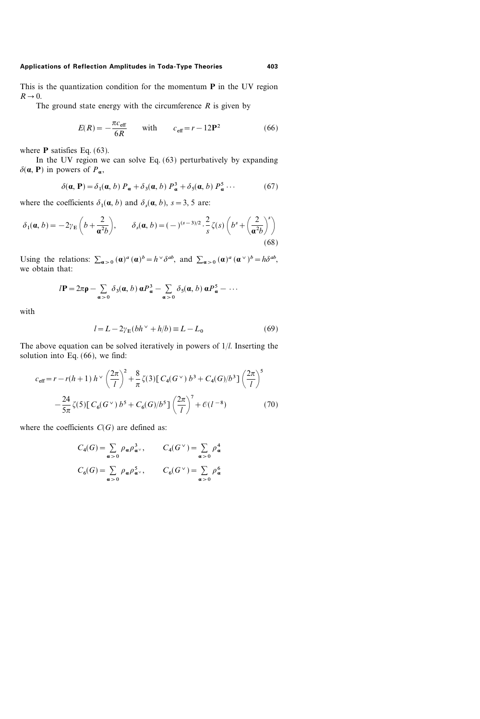This is the quantization condition for the momentum  $P$  in the UV region  $R\rightarrow 0$ .

The ground state energy with the circumference  $R$  is given by

$$
E(R) = -\frac{\pi c_{\text{eff}}}{6R} \quad \text{with} \quad c_{\text{eff}} = r - 12\mathbf{P}^2 \tag{66}
$$

where  $P$  satisfies Eq. (63).

In the UV region we can solve Eq. (63) perturbatively by expanding  $\delta(\mathbf{a}, \mathbf{P})$  in powers of  $P_{\mathbf{a}}$ ,

$$
\delta(\mathbf{a}, \mathbf{P}) = \delta_1(\mathbf{a}, b) P_{\mathbf{a}} + \delta_3(\mathbf{a}, b) P_{\mathbf{a}}^3 + \delta_5(\mathbf{a}, b) P_{\mathbf{a}}^5 \cdots
$$
 (67)

where the coefficients  $\delta_1(\mathbf{a}, b)$  and  $\delta_s(\mathbf{a}, b)$ ,  $s = 3, 5$  are:

$$
\delta_1(\mathbf{a}, b) = -2\gamma_{\rm E}\left(b + \frac{2}{\mathbf{a}^2 b}\right), \qquad \delta_s(\mathbf{a}, b) = (-)^{(s-3)/2} \cdot \frac{2}{s} \zeta(s) \left(b^s + \left(\frac{2}{\mathbf{a}^2 b}\right)^s\right)
$$
\n(68)

Using the relations:  $\sum_{\alpha>0} (\alpha)^{\alpha} (\alpha)^{b} = h^{\vee} \delta^{ab}$ , and  $\sum_{\alpha>0} (\alpha)^{\alpha} (\alpha^{\vee})^{b} = h \delta^{ab}$ , we obtain that:

$$
l\mathbf{P} = 2\pi \mathbf{p} - \sum_{\alpha>0} \delta_3(\mathbf{a}, b) \mathbf{\alpha} P_{\alpha}^3 - \sum_{\alpha>0} \delta_5(\mathbf{a}, b) \mathbf{\alpha} P_{\alpha}^5 - \cdots
$$

with

$$
l = L - 2\gamma_{\rm E}(bh^{\vee} + h/b) \equiv L - L_0 \tag{69}
$$

The above equation can be solved iteratively in powers of  $1/l$ . Inserting the solution into Eq. (66), we find:

$$
c_{\text{eff}} = r - r(h+1) h^{\vee} \left(\frac{2\pi}{l}\right)^{2} + \frac{8}{\pi} \zeta(3) \left[ C_{4}(G^{\vee}) b^{3} + C_{4}(G)/b^{3} \right] \left(\frac{2\pi}{l}\right)^{5}
$$

$$
- \frac{24}{5\pi} \zeta(5) \left[ C_{6}(G^{\vee}) b^{5} + C_{6}(G)/b^{5} \right] \left(\frac{2\pi}{l}\right)^{7} + \mathcal{O}(l^{-8}) \tag{70}
$$

where the coefficients  $C(G)$  are defined as:

$$
C_4(G) = \sum_{\alpha > 0} \rho_{\alpha} \rho_{\alpha}^3, \qquad C_4(G^{\vee}) = \sum_{\alpha > 0} \rho_{\alpha}^4
$$
  

$$
C_6(G) = \sum_{\alpha > 0} \rho_{\alpha} \rho_{\alpha}^5, \qquad C_6(G^{\vee}) = \sum_{\alpha > 0} \rho_{\alpha}^6
$$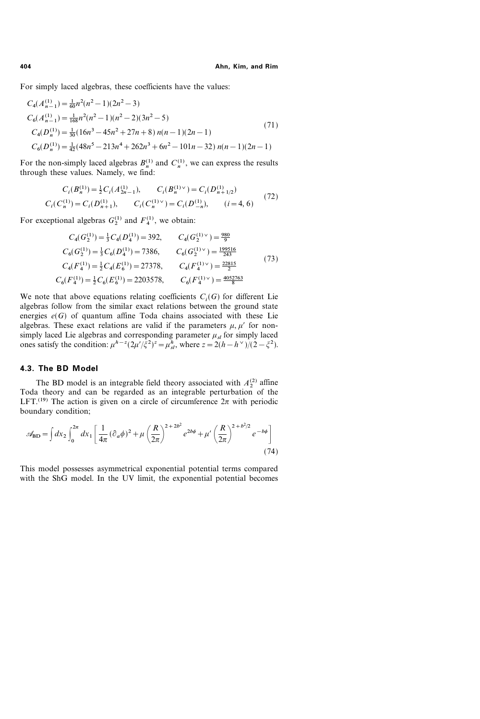For simply laced algebras, these coefficients have the values:

$$
C_4(A_{n-1}^{(1)}) = \frac{1}{60}n^2(n^2 - 1)(2n^2 - 3)
$$
  
\n
$$
C_6(A_{n-1}^{(1)}) = \frac{1}{168}n^2(n^2 - 1)(n^2 - 2)(3n^2 - 5)
$$
  
\n
$$
C_4(D_n^{(1)}) = \frac{1}{30}(16n^3 - 45n^2 + 27n + 8) n(n-1)(2n-1)
$$
  
\n
$$
C_6(D_n^{(1)}) = \frac{1}{42}(48n^5 - 213n^4 + 262n^3 + 6n^2 - 101n - 32) n(n-1)(2n-1)
$$
\n(71)

For the non-simply laced algebras  $B_n^{(1)}$  and  $C_n^{(1)}$ , we can express the results through these values. Namely, we find:

$$
C_i(B_n^{(1)}) = \frac{1}{2}C_i(A_{2n-1}^{(1)}), \qquad C_i(B_n^{(1)\vee}) = C_i(D_{n+1/2}^{(1)})
$$
  

$$
C_i(C_n^{(1)}) = C_i(D_{n+1}^{(1)}), \qquad C_i(C_n^{(1)\vee}) = C_i(D_{-n}^{(1)}), \qquad (i = 4, 6)
$$
 (72)

For exceptional algebras  $G_2^{(1)}$  and  $F_4^{(1)}$ , we obtain:

$$
C_4(G_2^{(1)}) = \frac{1}{3}C_4(D_4^{(1)}) = 392, \t C_4(G_2^{(1)\vee}) = \frac{980}{9}
$$
  
\n
$$
C_6(G_2^{(1)}) = \frac{1}{3}C_6(D_4^{(1)}) = 7386, \t C_6(G_2^{(1)\vee}) = \frac{199516}{243}
$$
  
\n
$$
C_4(F_4^{(1)}) = \frac{1}{2}C_4(E_6^{(1)}) = 27378, \t C_4(F_4^{(1)\vee}) = \frac{22815}{25}
$$
  
\n
$$
C_6(F_4^{(1)}) = \frac{1}{2}C_6(E_6^{(1)}) = 2203578, \t C_6(F_4^{(1)\vee}) = \frac{4052763}{8}
$$
  
\n(73)

We note that above equations relating coefficients  $C_i(G)$  for different Lie algebras follow from the similar exact relations between the ground state energies  $e(G)$  of quantum affine Toda chains associated with these Lie algebras. These exact relations are valid if the parameters  $\mu$ ,  $\mu'$  for nonsimply laced Lie algebras and corresponding parameter  $\mu_{sl}$  for simply laced ones satisfy the condition:  $\mu^{h-z} (2\mu'/\xi^2)^z = \mu_{st}^h$ , where  $z = 2(h - h^{\vee})/(2 - \xi^2)$ .

#### 4.3. The BD Model

The BD model is an integrable field theory associated with  $A_2^{(2)}$  affine Toda theory and can be regarded as an integrable perturbation of the LFT.<sup>(19)</sup> The action is given on a circle of circumference  $2\pi$  with periodic boundary condition;

$$
\mathscr{A}_{BD} = \int dx_2 \int_0^{2\pi} dx_1 \left[ \frac{1}{4\pi} (\partial_a \phi)^2 + \mu \left( \frac{R}{2\pi} \right)^{2+2b^2} e^{2b\phi} + \mu' \left( \frac{R}{2\pi} \right)^{2+b^2/2} e^{-b\phi} \right]
$$
(74)

This model possesses asymmetrical exponential potential terms compared with the ShG model. In the UV limit, the exponential potential becomes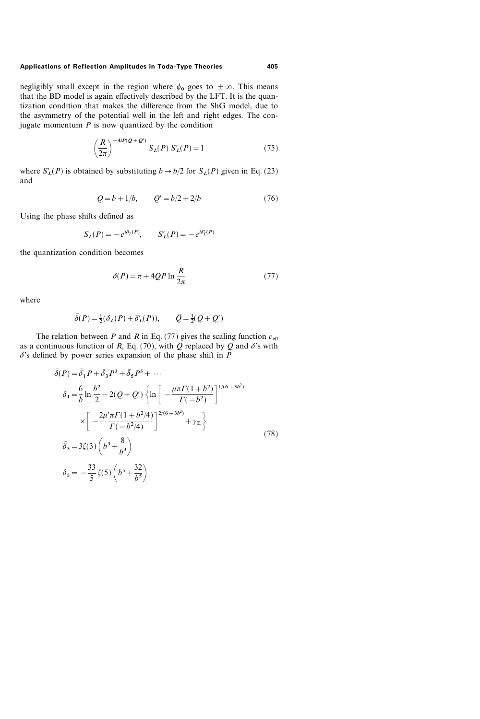negligibly small except in the region where  $\phi_0$  goes to  $\pm \infty$ . This means that the BD model is again effectively described by the LFT. It is the quantization condition that makes the difference from the ShG model, due to the asymmetry of the potential well in the left and right edges. The conjugate momentum  $P$  is now quantized by the condition

$$
\left(\frac{R}{2\pi}\right)^{-4iP(Q+Q')} S_L(P) S'_L(P) = 1 \tag{75}
$$

where  $S'_L(P)$  is obtained by substituting  $b \to b/2$  for  $S_L(P)$  given in Eq. (23) and

$$
Q = b + 1/b, \qquad Q' = b/2 + 2/b \tag{76}
$$

Using the phase shifts defined as

$$
S_L(P) = -e^{i\delta_L(P)}, \qquad S'_L(P) = -e^{i\delta_L(P)}
$$

the quantization condition becomes

$$
\bar{\delta}(P) = \pi + 4\bar{Q}P \ln \frac{R}{2\pi}
$$
 (77)

where

$$
\bar{\delta}(P) = \frac{1}{2}(\delta_L(P) + \delta'_L(P)), \qquad \bar{Q} = \frac{1}{2}(Q + Q')
$$

The relation between P and R in Eq. (77) gives the scaling function  $c_{\text{eff}}$ as a continuous function of R, Eq. (70), with Q replaced by  $\overline{Q}$  and  $\delta$ 's with  $\overline{\delta}$ 's defined by power series expansion of the phase shift in P

$$
\bar{\delta}(P) = \bar{\delta}_1 P + \bar{\delta}_3 P^3 + \bar{\delta}_5 P^5 + \cdots
$$
\n
$$
\bar{\delta}_1 = \frac{6}{b} \ln \frac{b^2}{2} - 2(Q + Q') \left\{ \ln \left[ -\frac{\mu \pi \Gamma (1 + b^2)}{\Gamma (-b^2)} \right]^{1/(6 + 3b^2)} \right\}
$$
\n
$$
\times \left[ -\frac{2\mu' \pi \Gamma (1 + b^2/4)}{\Gamma (-b^2/4)} \right]^{2/(6 + 3b^2)} + \gamma_E \left\{ \frac{\bar{\delta}_3}{\bar{\delta}_3} = 3\zeta(3) \left( b^3 + \frac{8}{b^3} \right) \right\}
$$
\n(78)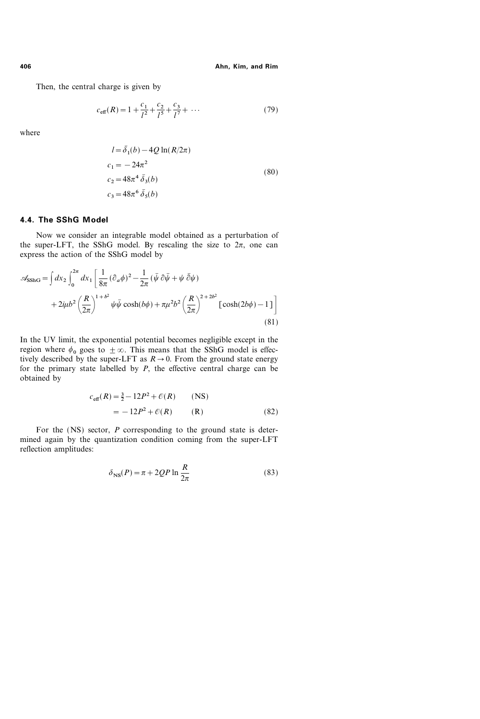Then, the central charge is given by

$$
c_{\text{eff}}(R) = 1 + \frac{c_1}{l^2} + \frac{c_2}{l^5} + \frac{c_3}{l^7} + \dots \tag{79}
$$

where

$$
l = \bar{\delta}_1(b) - 4Q \ln(R/2\pi)
$$
  
\n
$$
c_1 = -24\pi^2
$$
  
\n
$$
c_2 = 48\pi^4 \bar{\delta}_3(b)
$$
  
\n
$$
c_3 = 48\pi^6 \bar{\delta}_5(b)
$$
  
\n(80)

# 4.4. The SShG Model

Now we consider an integrable model obtained as a perturbation of the super-LFT, the SShG model. By rescaling the size to  $2\pi$ , one can express the action of the SShG model by

$$
\mathscr{A}_{\text{SShG}} = \int dx_2 \int_0^{2\pi} dx_1 \left[ \frac{1}{8\pi} (\partial_a \phi)^2 - \frac{1}{2\pi} (\bar{\psi} \partial \bar{\psi} + \psi \bar{\partial} \psi) + 2i\mu b^2 \left( \frac{R}{2\pi} \right)^{1+b^2} \psi \bar{\psi} \cosh(b\phi) + \pi \mu^2 b^2 \left( \frac{R}{2\pi} \right)^{2+2b^2} \left[ \cosh(2b\phi) - 1 \right] \right]
$$
\n(81)

In the UV limit, the exponential potential becomes negligible except in the region where  $\phi_0$  goes to  $\pm \infty$ . This means that the SShG model is effectively described by the super-LFT as  $R\rightarrow 0$ . From the ground state energy for the primary state labelled by  $P$ , the effective central charge can be obtained by

$$
c_{\text{eff}}(R) = \frac{3}{2} - 12P^2 + \mathcal{O}(R) \qquad \text{(NS)}
$$
  
= -12P<sup>2</sup> + \mathcal{O}(R) \qquad \text{(R)} \qquad (82)

For the (NS) sector, P corresponding to the ground state is determined again by the quantization condition coming from the super-LFT reflection amplitudes:

$$
\delta_{\rm NS}(P) = \pi + 2QP \ln \frac{R}{2\pi}
$$
\n(83)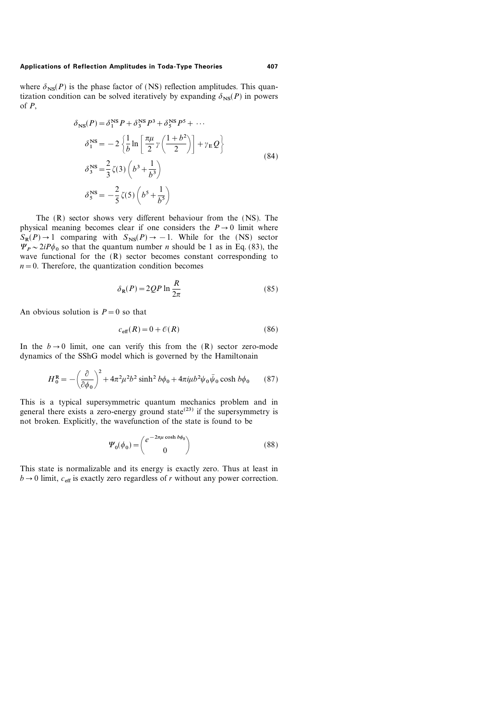where  $\delta_{NS}(P)$  is the phase factor of (NS) reflection amplitudes. This quantization condition can be solved iteratively by expanding  $\delta_{NS}(P)$  in powers of  $P$ .

$$
\delta_{\text{NS}}(P) = \delta_1^{\text{NS}} P + \delta_3^{\text{NS}} P^3 + \delta_5^{\text{NS}} P^5 + \cdots
$$
  
\n
$$
\delta_1^{\text{NS}} = -2 \left\{ \frac{1}{b} \ln \left[ \frac{\pi \mu}{2} \gamma \left( \frac{1 + b^2}{2} \right) \right] + \gamma_{\text{E}} Q \right\}
$$
  
\n
$$
\delta_3^{\text{NS}} = \frac{2}{3} \zeta(3) \left( b^3 + \frac{1}{b^3} \right)
$$
  
\n
$$
\delta_5^{\text{NS}} = -\frac{2}{5} \zeta(5) \left( b^5 + \frac{1}{b^5} \right)
$$
\n(84)

The (R) sector shows very different behaviour from the (NS). The physical meaning becomes clear if one considers the  $P\rightarrow 0$  limit where  $S_R(P) \rightarrow 1$  comparing with  $S_{NS}(P) \rightarrow -1$ . While for the (NS) sector  $\Psi_p \sim 2iP\phi_0$  so that the quantum number *n* should be 1 as in Eq. (83), the wave functional for the (R) sector becomes constant corresponding to  $n=0$ . Therefore, the quantization condition becomes

$$
\delta_{\mathbf{R}}(P) = 2QP \ln \frac{R}{2\pi} \tag{85}
$$

An obvious solution is  $P=0$  so that

$$
c_{\text{eff}}(R) = 0 + \mathcal{O}(R) \tag{86}
$$

In the  $b\rightarrow 0$  limit, one can verify this from the (R) sector zero-mode dynamics of the SShG model which is governed by the Hamiltonain

$$
H_0^{\text{R}} = -\left(\frac{\partial}{\partial \phi_0}\right)^2 + 4\pi^2 \mu^2 b^2 \sinh^2 b\phi_0 + 4\pi i \mu b^2 \psi_0 \bar{\psi}_0 \cosh b\phi_0 \qquad (87)
$$

This is a typical supersymmetric quantum mechanics problem and in general there exists a zero-energy ground state<sup> $(23)$ </sup> if the supersymmetry is not broken. Explicitly, the wavefunction of the state is found to be

$$
\Psi_0(\phi_0) = \begin{pmatrix} e^{-2\pi\mu\cosh b\phi_0} \\ 0 \end{pmatrix}
$$
\n(88)

This state is normalizable and its energy is exactly zero. Thus at least in  $b\rightarrow0$  limit,  $c_{\text{eff}}$  is exactly zero regardless of r without any power correction.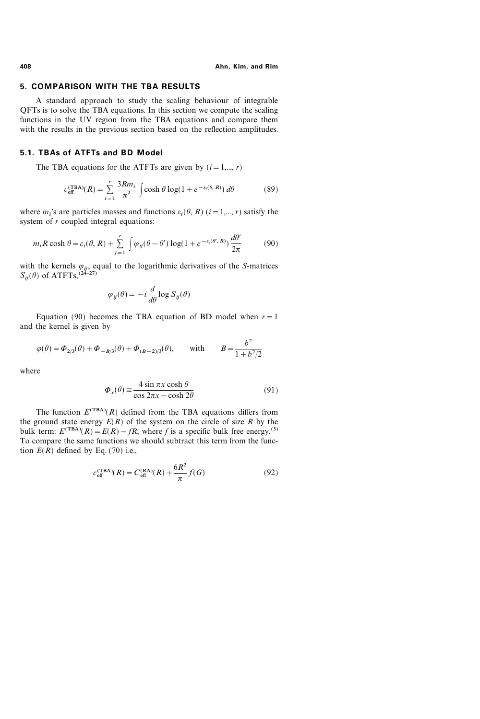### 5. COMPARISON WITH THE TBA RESULTS

A standard approach to study the scaling behaviour of integrable QFTs is to solve the TBA equations. In this section we compute the scaling functions in the UV region from the TBA equations and compare them with the results in the previous section based on the reflection amplitudes.

### 5.1. TBAs of ATFTs and BD Model

The TBA equations for the ATFTs are given by  $(i=1,..., r)$ 

$$
c_{\text{eff}}^{(\text{TBA})}(R) = \sum_{i=1}^{r} \frac{3Rm_i}{\pi^2} \int \cosh\theta \log(1 + e^{-\epsilon_i(\theta, R)}) \,d\theta \tag{89}
$$

where  $m_i$ 's are particles masses and functions  $\varepsilon_i(\theta, R)$  ( $i=1,..., r$ ) satisfy the system of r coupled integral equations:

$$
m_i R \cosh \theta = \varepsilon_i(\theta, R) + \sum_{j=1}^r \int \varphi_{ij}(\theta - \theta') \log(1 + e^{-\varepsilon_i(\theta', R)}) \frac{d\theta'}{2\pi}
$$
(90)

with the kernels  $\varphi_{ij}$ , equal to the logarithmic derivatives of the S-matrices  $S_{ij}(\theta)$  of ATFTs,<sup>(24–27)</sup>

$$
\varphi_{ij}(\theta) = -i \frac{d}{d\theta} \log S_{ij}(\theta)
$$

Equation (90) becomes the TBA equation of BD model when  $r=1$ and the kernel is given by

$$
\varphi(\theta) = \Phi_{2/3}(\theta) + \Phi_{-B/3}(\theta) + \Phi_{(B-2)/3}(\theta)
$$
, with  $B = \frac{b^2}{1 + b^2/2}$ 

where

$$
\Phi_x(\theta) \equiv \frac{4 \sin \pi x \cosh \theta}{\cos 2\pi x - \cosh 2\theta} \tag{91}
$$

The function  $E^{(TBA)}(R)$  defined from the TBA equations differs from the ground state energy  $E(R)$  of the system on the circle of size R by the bulk term:  $E^{(TBA)}(R) = E(R) - fR$ , where f is a specific bulk free energy.<sup>(3)</sup> To compare the same functions we should subtract this term from the function  $E(R)$  defined by Eq. (70) i.e.,

$$
c_{\text{eff}}^{(\text{TBA})}(R) = C_{\text{eff}}^{(\text{RA})}(R) + \frac{6R^2}{\pi}f(G)
$$
\n(92)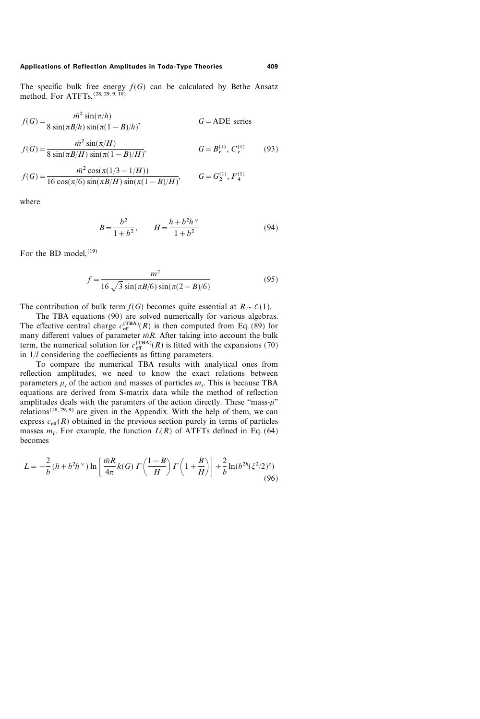The specific bulk free energy  $f(G)$  can be calculated by Bethe Ansatz method. For ATFTs,  $^{(28, 29, 9, 10)}$ 

$$
f(G) = \frac{\bar{m}^2 \sin(\pi/h)}{8 \sin(\pi B/h) \sin(\pi (1 - B)/h)},
$$
 G = ADE series

$$
f(G) = \frac{\bar{m}^2 \sin(\pi/H)}{8 \sin(\pi B/H) \sin(\pi (1 - B)/H)},
$$
  $G = B_r^{(1)}, C_r^{(1)}$  (93)

$$
f(G) = \frac{\bar{m}^2 \cos(\pi(1/3 - 1/H))}{16 \cos(\pi/6) \sin(\pi B/H) \sin(\pi(1 - B)/H)}, \qquad G = G_2^{(1)}, F_4^{(1)}
$$

where

$$
B = \frac{b^2}{1 + b^2}, \qquad H = \frac{h + b^2 h^{\vee}}{1 + b^2} \tag{94}
$$

For the BD model,  $(19)$ 

$$
f = \frac{m^2}{16\sqrt{3}\sin(\pi B/6)\sin(\pi(2-B)/6)}
$$
(95)

The contribution of bulk term  $f(G)$  becomes quite essential at  $R \sim \mathcal{O}(1)$ .

The TBA equations (90) are solved numerically for various algebras. The effective central charge  $c_{\text{eff}}^{(\text{TBA})}(R)$  is then computed from Eq. (89) for many different values of parameter  $\overline{m}R$ . After taking into account the bulk term, the numerical solution for  $c_{\text{eff}}^{(\text{TBA})}(R)$  is fitted with the expansions (70) in  $1/l$  considering the coeffiecients as fitting parameters.

To compare the numerical TBA results with analytical ones from reflection amplitudes, we need to know the exact relations between parameters  $\mu_i$  of the action and masses of particles  $m_i$ . This is because TBA equations are derived from S-matrix data while the method of reflection amplitudes deals with the paramters of the action directly. These "mass- $\mu$ " relations<sup> $(18, 29, 9)$ </sup> are given in the Appendix. With the help of them, we can express  $c_{\text{eff}}(R)$  obtained in the previous section purely in terms of particles masses  $m_i$ . For example, the function  $L(R)$  of ATFTs defined in Eq. (64) becomes

$$
L = -\frac{2}{b} \left( h + b^2 h^{\vee} \right) \ln \left[ \frac{\bar{m}R}{4\pi} k(G) \right] \left( \frac{1-B}{H} \right) \Gamma \left( 1 + \frac{B}{H} \right) \right] + \frac{2}{b} \ln(b^{2h} (\xi^2/2)^z)
$$
\n(96)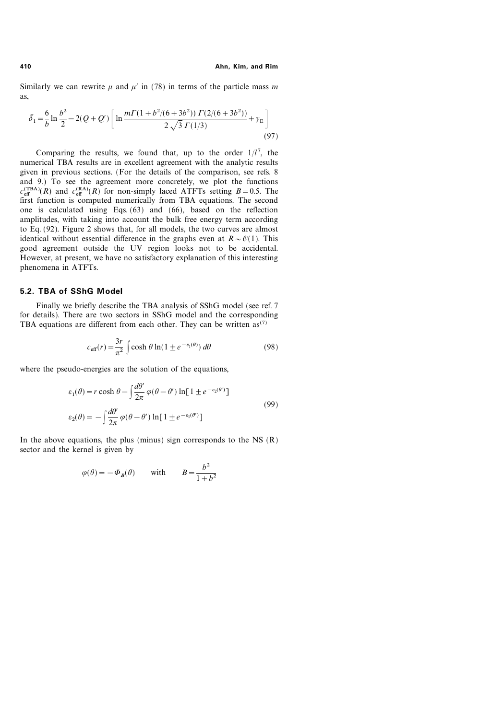Similarly we can rewrite  $\mu$  and  $\mu'$  in (78) in terms of the particle mass m as,

$$
\bar{\delta}_1 = \frac{6}{b} \ln \frac{b^2}{2} - 2(Q + Q') \left[ \ln \frac{m \Gamma (1 + b^2 / (6 + 3b^2)) \Gamma (2 / (6 + 3b^2))}{2 \sqrt{3} \Gamma (1/3)} + \gamma_E \right]
$$
\n(97)

Comparing the results, we found that, up to the order  $1/l^7$ , the numerical TBA results are in excellent agreement with the analytic results given in previous sections. (For the details of the comparison, see refs. 8 and 9.) To see the agreement more concretely, we plot the functions  $c_{\text{eff}}^{(\text{TBA})}(R)$  and  $c_{\text{eff}}^{(\text{RA})}(R)$  for non-simply laced ATFTs setting  $B=0.5$ . The first function is computed numerically from TBA equations. The second one is calculated using Eqs. (63) and (66), based on the reflection amplitudes, with taking into account the bulk free energy term according to Eq. (92). Figure 2 shows that, for all models, the two curves are almost identical without essential difference in the graphs even at  $R \sim \mathcal{O}(1)$ . This good agreement outside the UV region looks not to be accidental. However, at present, we have no satisfactory explanation of this interesting phenomena in ATFTs.

### 5.2. TBA of SShG Model

Finally we briefly describe the TBA analysis of SShG model (see ref. 7 for details). There are two sectors in SShG model and the corresponding TBA equations are different from each other. They can be written  $as^{(7)}$ 

$$
c_{\text{eff}}(r) = \frac{3r}{\pi^2} \int \cosh\theta \ln(1 \pm e^{-\varepsilon_1(\theta)}) \, d\theta \tag{98}
$$

where the pseudo-energies are the solution of the equations,

$$
\varepsilon_1(\theta) = r \cosh \theta - \int \frac{d\theta'}{2\pi} \varphi(\theta - \theta') \ln[1 \pm e^{-\varepsilon_2(\theta')}]
$$
  

$$
\varepsilon_2(\theta) = -\int \frac{d\theta'}{2\pi} \varphi(\theta - \theta') \ln[1 \pm e^{-\varepsilon_1(\theta')}]
$$
(99)

In the above equations, the plus (minus) sign corresponds to the NS  $(R)$ sector and the kernel is given by

$$
\varphi(\theta) = -\Phi_B(\theta)
$$
 with  $B = \frac{b^2}{1+b^2}$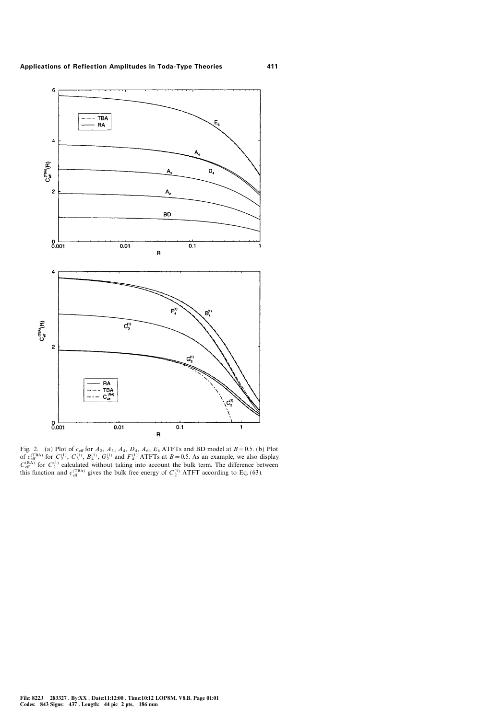

Fig. 2. (a) Plot of  $c_{\text{eff}}$  for  $A_2$ ,  $A_3$ ,  $A_4$ ,  $D_4$ ,  $A_6$ ,  $E_6$  ATFTs and BD model at  $B = 0.5$ . (b) Plot of  $c_{\text{eff}}^{(\text{TBA})}$  for  $C_2^{(1)}$ ,  $C_3^{(1)}$ ,  $B_4^{(1)}$ ,  $G_2^{(1)}$  and  $F_4^{(1)}$  ATFTs at  $B = 0.5$ . As an example, we also display  $C_{\text{eff}}^{(\text{RA})}$  for  $C_2^{(1)}$  calculated without taking into account the bulk term. The difference between this function and  $c_{\text{eff}}^{(\text{TBA})}$  gives the bulk free energy of  $C_2^{(1)}$  ATFT according to Eq. (63).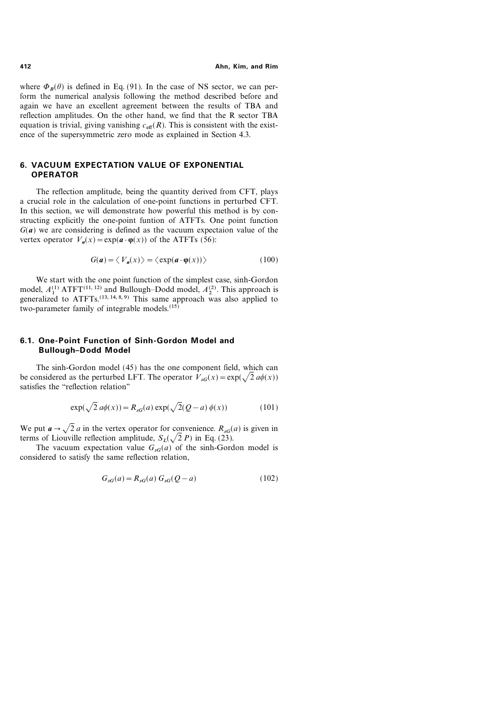where  $\Phi_B(\theta)$  is defined in Eq. (91). In the case of NS sector, we can perform the numerical analysis following the method described before and again we have an excellent agreement between the results of TBA and reflection amplitudes. On the other hand, we find that the R sector TBA equation is trivial, giving vanishing  $c_{\text{eff}}(R)$ . This is consistent with the existence of the supersymmetric zero mode as explained in Section 4.3.

# 6. VACUUM EXPECTATION VALUE OF EXPONENTIAL OPERATOR

The reflection amplitude, being the quantity derived from CFT, plays a crucial role in the calculation of one-point functions in perturbed CFT. In this section, we will demonstrate how powerful this method is by constructing explicitly the one-point funtion of ATFTs. One point function  $G(a)$  we are considering is defined as the vacuum expectaion value of the vertex operator  $V_a(x) = \exp(a \cdot \varphi(x))$  of the ATFTs (56):

$$
G(a) = \langle V_a(x) \rangle = \langle \exp(a \cdot \varphi(x)) \rangle \tag{100}
$$

We start with the one point function of the simplest case, sinh-Gordon model,  $A_1^{(1)}$  ATFT<sup>(11, 12)</sup> and Bullough–Dodd model,  $A_2^{(2)}$ . This approach is generalized to  $ATFTs$ .<sup>(13, 14, 8, 9)</sup> This same approach was also applied to two-parameter family of integrable models.<sup>(15)</sup>

# 6.1. One-Point Function of Sinh-Gordon Model and **Bullough-Dodd Model**

The sinh-Gordon model (45) has the one component field, which can be considered as the perturbed LFT. The operator  $V_{sG}(x) = \exp(\sqrt{2} a\phi(x))$ satisfies the "reflection relation"

$$
\exp(\sqrt{2} a\phi(x)) = R_{sG}(a) \exp(\sqrt{2}(Q - a) \phi(x)) \tag{101}
$$

We put  $a \rightarrow \sqrt{2} a$  in the vertex operator for convenience.  $R_{sG}(a)$  is given in terms of Liouville reflection amplitude,  $S_L(\sqrt{2} P)$  in Eq. (23).

The vacuum expectation value  $G_{\alpha\beta}(a)$  of the sinh-Gordon model is considered to satisfy the same reflection relation,

$$
G_{sG}(a) = R_{sG}(a) G_{sG}(Q - a)
$$
 (102)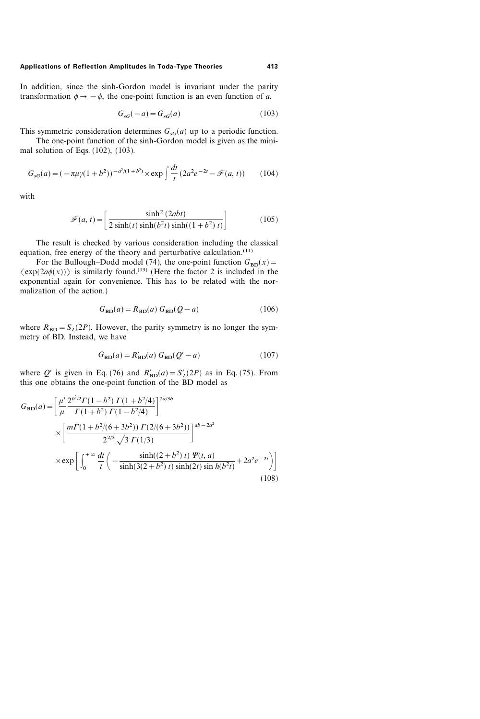In addition, since the sinh-Gordon model is invariant under the parity transformation  $\phi \rightarrow -\phi$ , the one-point function is an even function of a.

$$
G_{sG}(-a) = G_{sG}(a) \tag{103}
$$

This symmetric consideration determines  $G_{\text{sd}}(a)$  up to a periodic function.

The one-point function of the sinh-Gordon model is given as the minimal solution of Eqs. (102), (103).

$$
G_{sG}(a) = (-\pi \mu \gamma (1+b^2))^{-a^2/(1+b^2)} \times \exp \int \frac{dt}{t} (2a^2 e^{-2t} - \mathcal{F}(a, t)) \tag{104}
$$

with

$$
\mathcal{F}(a,t) = \left[ \frac{\sinh^2(2abt)}{2\sinh(t)\sinh(b^2t)\sinh((1+b^2)t)} \right]
$$
(105)

The result is checked by various consideration including the classical equation, free energy of the theory and perturbative calculation. $(11)$ 

For the Bullough–Dodd model (74), the one-point function  $G_{BD}(x)$  =  $\langle \exp(2a\phi(x)) \rangle$  is similarly found.<sup>(13)</sup> (Here the factor 2 is included in the exponential again for convenience. This has to be related with the normalization of the action.)

$$
G_{BD}(a) = R_{BD}(a) G_{BD}(Q - a)
$$
\n(106)

where  $R_{BD} = S_L(2P)$ . However, the parity symmetry is no longer the symmetry of BD. Instead, we have

$$
G_{\rm BD}(a) = R'_{\rm BD}(a) G_{\rm BD}(Q'-a)
$$
 (107)

where Q' is given in Eq. (76) and  $R'_{BD}(a) = S'_L(2P)$  as in Eq. (75). From this one obtains the one-point function of the BD model as

$$
G_{BD}(a) = \left[ \frac{\mu'}{\mu} \frac{2^{b^2/2} \Gamma(1-b^2) \Gamma(1+b^2/4)}{\Gamma(1+b^2) \Gamma(1-b^2/4)} \right]^{2a/3b}
$$
  
 
$$
\times \left[ \frac{m \Gamma(1+b^2/(6+3b^2)) \Gamma(2/(6+3b^2))}{2^{2/3} \sqrt{3} \Gamma(1/3)} \right]^{ab-2a^2}
$$
  
 
$$
\times \exp \left[ \int_0^{+\infty} \frac{dt}{t} \left( -\frac{\sinh((2+b^2) t) \Psi(t, a)}{\sinh(3(2+b^2) t) \sinh(2t) \sinh(b^2 t)} + 2a^2 e^{-2t} \right) \right]
$$
(108)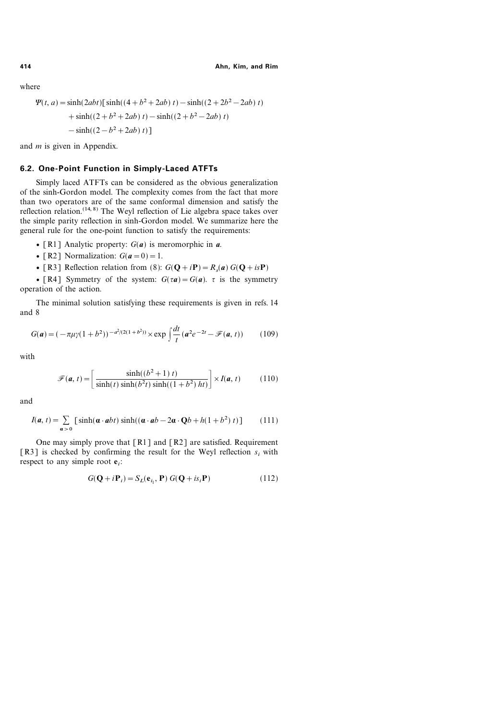where

$$
\Psi(t, a) = \sinh(2abt) [\sinh((4+b^2+2ab) t) - \sinh((2+2b^2-2ab) t) \n+ \sinh((2+b^2+2ab) t) - \sinh((2+b^2-2ab) t) \n- \sinh((2-b^2+2ab) t)]
$$

and  $m$  is given in Appendix.

# 6.2. One-Point Function in Simply-Laced ATFTs

Simply laced ATFTs can be considered as the obvious generalization of the sinh-Gordon model. The complexity comes from the fact that more than two operators are of the same conformal dimension and satisfy the reflection relation.<sup> $(14, 8)$ </sup> The Weyl reflection of Lie algebra space takes over the simple parity reflection in sinh-Gordon model. We summarize here the general rule for the one-point function to satisfy the requirements:

- [R1] Analytic property:  $G(a)$  is meromorphic in  $a$ .
- [R2] Normalization:  $G(a=0)=1$ .
- [R3] Reflection relation from (8):  $G(\mathbf{Q} + i\mathbf{P}) = R_s(\mathbf{a}) G(\mathbf{Q} + i\mathbf{P})$

• [R4] Symmetry of the system:  $G(\tau a) = G(a)$ .  $\tau$  is the symmetry operation of the action.

The minimal solution satisfying these requirements is given in refs. 14 and 8

$$
G(a) = (-\pi \mu \gamma (1 + b^2))^{-a^2/(2(1 + b^2))} \times \exp \int \frac{dt}{t} (a^2 e^{-2t} - \mathcal{F}(a, t))
$$
 (109)

with

$$
\mathscr{F}(\mathbf{a}, t) = \left[\frac{\sinh((b^2 + 1)t)}{\sinh(t)\sinh(b^2t)\sinh((1 + b^2))ht)}\right] \times I(\mathbf{a}, t)
$$
(110)

and

$$
I(a, t) = \sum_{\alpha > 0} \left[ \sinh(\alpha \cdot abt) \sinh((\alpha \cdot ab - 2\alpha \cdot Qb + h(1 + b^2)t)) \right]
$$
 (111)

One may simply prove that  $\lceil R_1 \rceil$  and  $\lceil R_2 \rceil$  are satisfied. Requirement [R3] is checked by confirming the result for the Weyl reflection  $s_i$  with respect to any simple root  $e_i$ :

$$
G(\mathbf{Q} + i\mathbf{P}_i) = S_L(\mathbf{e}_{i_1}, \mathbf{P}) G(\mathbf{Q} + i s_i \mathbf{P})
$$
\n(112)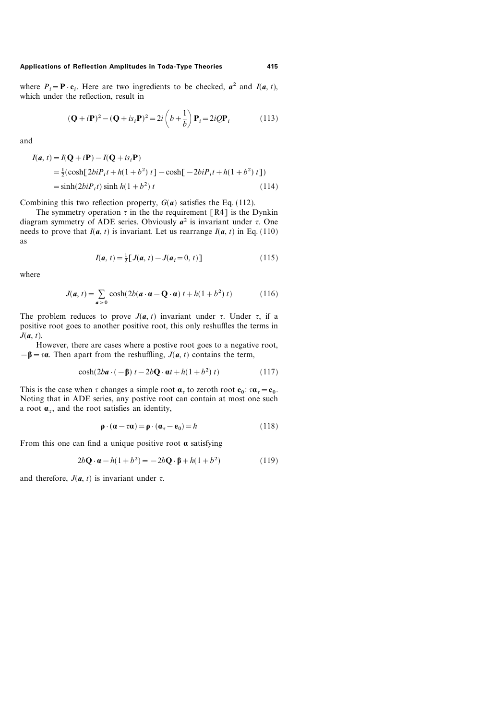where  $P_i = \mathbf{P} \cdot \mathbf{e}_i$ . Here are two ingredients to be checked,  $a^2$  and  $I(a, t)$ , which under the reflection, result in

$$
(\mathbf{Q} + i\mathbf{P})^2 - (\mathbf{Q} + is_i\mathbf{P})^2 = 2i\left(b + \frac{1}{b}\right)\mathbf{P}_i = 2iQ\mathbf{P}_i
$$
 (113)

and

$$
I(\mathbf{a}, t) = I(\mathbf{Q} + i\mathbf{P}) - I(\mathbf{Q} + is_i \mathbf{P})
$$
  
=  $\frac{1}{2}(\cosh[2biP_i t + h(1 + b^2) t] - \cosh[-2biP_i t + h(1 + b^2) t])$   
=  $\sinh(2biP_i t) \sinh h(1 + b^2) t$  (114)

Combining this two reflection property,  $G(a)$  satisfies the Eq. (112).

The symmetry operation  $\tau$  in the the requirement [R4] is the Dynkin diagram symmetry of ADE series. Obviously  $a^2$  is invariant under  $\tau$ . One needs to prove that  $I(a, t)$  is invariant. Let us rearrange  $I(a, t)$  in Eq. (110) as

$$
I(a, t) = \frac{1}{2} [J(a, t) - J(a_i = 0, t)]
$$
\n(115)

where

$$
J(\mathbf{a}, t) = \sum_{\mathbf{a} > 0} \cosh(2b(\mathbf{a} \cdot \mathbf{a} - \mathbf{Q} \cdot \mathbf{a}) t + h(1 + b^2) t)
$$
(116)

The problem reduces to prove  $J(a, t)$  invariant under  $\tau$ . Under  $\tau$ , if a positive root goes to another positive root, this only reshuffles the terms in  $J(a, t)$ .

However, there are cases where a postive root goes to a negative root,  $-\beta = \tau \alpha$ . Then apart from the reshuffling,  $J(a, t)$  contains the term,

$$
\cosh(2ba \cdot (-\beta) t - 2b\mathbf{Q} \cdot \mathbf{a}t + h(1+b^2) t)
$$
 (117)

This is the case when  $\tau$  changes a simple root  ${\bf a}_{\tau}$  to zeroth root  ${\bf e}_0$ :  ${\bf \tau} {\bf \alpha}_{\tau} = {\bf e}_0$ . Noting that in ADE series, any postive root can contain at most one such a root  $\alpha_r$ , and the root satisfies an identity,

$$
\mathbf{p} \cdot (\mathbf{\alpha} - \tau \mathbf{\alpha}) = \mathbf{p} \cdot (\mathbf{\alpha}_{\tau} - \mathbf{e}_0) = h \tag{118}
$$

From this one can find a unique positive root  $\alpha$  satisfying

$$
2b\mathbf{Q}\cdot\mathbf{a} - h(1+b^2) = -2b\mathbf{Q}\cdot\mathbf{\beta} + h(1+b^2)
$$
 (119)

and therefore,  $J(a, t)$  is invariant under  $\tau$ .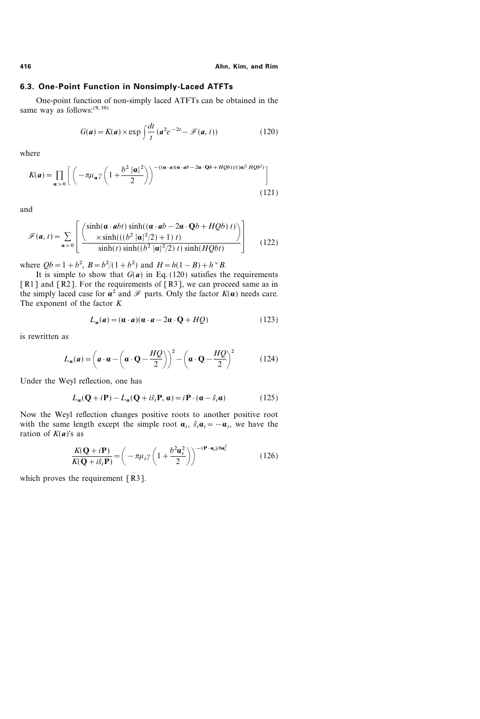# 6.3. One-Point Function in Nonsimply-Laced ATFTs

One-point function of non-simply laced ATFTs can be obtained in the same way as follows:  $(9, 10)$ 

$$
G(a) = K(a) \times \exp \int \frac{dt}{t} \left( a^2 e^{-2t} - \mathcal{F}(a, t) \right) \tag{120}
$$

where

$$
K(a) = \prod_{\alpha > 0} \left[ \left( -\pi \mu_{\alpha} \gamma \left( 1 + \frac{b^2 |\alpha|^2}{2} \right) \right)^{-(\alpha \cdot a)(\alpha \cdot ab - 2\alpha \cdot Qb + HQb)) / (|\alpha|^2 HQb^2)} \right]
$$
(121)

and

$$
\mathcal{F}(\mathbf{a}, t) = \sum_{\mathbf{a} > 0} \left[ \frac{\sinh(\mathbf{a} \cdot \mathbf{a} bt) \sinh((\mathbf{a} \cdot \mathbf{a} b - 2\mathbf{a} \cdot \mathbf{Q} b + HQb) t)}{\sinh(t) \sinh((b^2 |\mathbf{a}|^2/2) + 1) t)} \right]
$$
(122)

where  $Qb = 1 + b^2$ ,  $B = b^2/(1 + b^2)$  and  $H = h(1 - B) + h^{\vee}B$ .

It is simple to show that  $G(a)$  in Eq. (120) satisfies the requirements [R1] and [R2]. For the requirements of [R3], we can proceed same as in the simply laced case for  $\alpha^2$  and  $\mathcal F$  parts. Only the factor  $K(\alpha)$  needs care. The exponent of the factor  $K$ 

$$
L_{\mathbf{a}}(\mathbf{a}) = (\mathbf{a} \cdot \mathbf{a})(\mathbf{a} \cdot \mathbf{a} - 2\mathbf{a} \cdot \mathbf{Q} + HQ) \tag{123}
$$

is rewritten as

$$
L_{\mathbf{a}}(\mathbf{a}) = \left(\mathbf{a} \cdot \mathbf{\alpha} - \left(\mathbf{a} \cdot \mathbf{Q} - \frac{HQ}{2}\right)\right)^2 - \left(\mathbf{a} \cdot \mathbf{Q} - \frac{HQ}{2}\right)^2\tag{124}
$$

Under the Weyl reflection, one has

$$
L_{\mathbf{a}}(\mathbf{Q} + i\mathbf{P}) - L_{\mathbf{a}}(\mathbf{Q} + i\hat{s}_i \mathbf{P}, \mathbf{a}) = i\mathbf{P} \cdot (\mathbf{a} - \hat{s}_i \mathbf{a})
$$
(125)

Now the Weyl reflection changes positive roots to another positive root with the same length except the simple root  $a_i$ ,  $\hat{s}_i a_i=-a_i$ , we have the ration of  $K(a)$ 's as

$$
\frac{K(\mathbf{Q}+i\mathbf{P})}{K(\mathbf{Q}+i\hat{s}_i\mathbf{P})} = \left(-\pi\mu_i\gamma\left(1+\frac{b^2\mathbf{a}_i^2}{2}\right)\right)^{-(\mathbf{P}\cdot\mathbf{a}_i)/b\mathbf{a}_i^2}
$$
(126)

which proves the requirement  $\lceil R3 \rceil$ .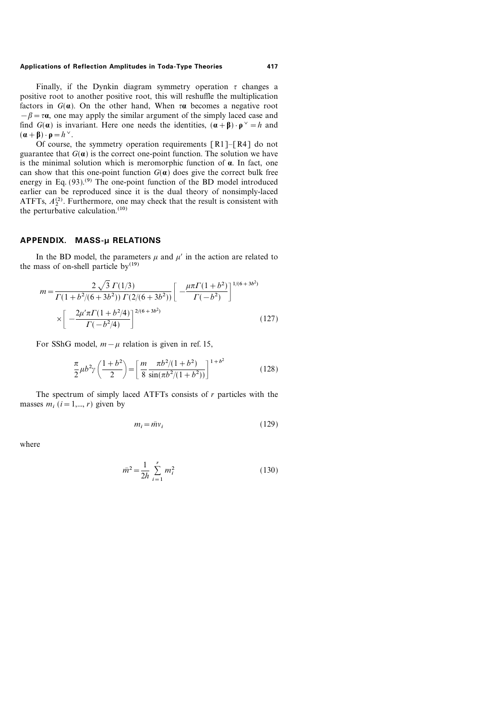Finally, if the Dynkin diagram symmetry operation  $\tau$  changes a positive root to another positive root, this will reshuffle the multiplication factors in  $G(\boldsymbol{\alpha})$ . On the other hand, When  $\tau \boldsymbol{\alpha}$  becomes a negative root  $-\beta = \tau \alpha$ , one may apply the similar argument of the simply laced case and find  $G(\mathbf{a})$  is invariant. Here one needs the identities,  $(\mathbf{a}+\mathbf{\beta}) \cdot \mathbf{p}^{\vee} = h$  and  $(\mathbf{a} + \mathbf{\beta}) \cdot \mathbf{p} = h^{\vee}.$ 

Of course, the symmetry operation requirements  $\lceil R_1 \rceil - \lceil R_4 \rceil$  do not guarantee that  $G(\boldsymbol{\alpha})$  is the correct one-point function. The solution we have is the minimal solution which is meromorphic function of  $\alpha$ . In fact, one can show that this one-point function  $G(\boldsymbol{\alpha})$  does give the correct bulk free energy in Eq.  $(93)$ <sup>(9)</sup>. The one-point function of the BD model introduced earlier can be reproduced since it is the dual theory of nonsimply-laced ATFTs,  $A_2^{(2)}$ . Furthermore, one may check that the result is consistent with the perturbative calculation.<sup>(10)</sup>

# APPENDIX. MASS-µ RELATIONS

In the BD model, the parameters  $\mu$  and  $\mu'$  in the action are related to the mass of on-shell particle  $bv^{(19)}$ 

$$
m = \frac{2\sqrt{3} \Gamma(1/3)}{\Gamma(1+b^2/(6+3b^2)) \Gamma(2/(6+3b^2))} \left[ -\frac{\mu \pi \Gamma(1+b^2)}{\Gamma(-b^2)} \right]^{1/(6+3b^2)}
$$

$$
\times \left[ -\frac{2\mu' \pi \Gamma(1+b^2/4)}{\Gamma(-b^2/4)} \right]^{2/(6+3b^2)} \tag{127}
$$

For SShG model,  $m-\mu$  relation is given in ref. 15,

$$
\frac{\pi}{2}\mu b^2 \gamma \left(\frac{1+b^2}{2}\right) = \left[\frac{m}{8} \frac{\pi b^2/(1+b^2)}{\sin(\pi b^2/(1+b^2))}\right]^{1+b^2}
$$
(128)

The spectrum of simply laced ATFTs consists of  $r$  particles with the masses  $m_i$  ( $i=1,\dots, r$ ) given by

$$
m_i = \bar{m}v_i \tag{129}
$$

where

$$
\bar{m}^2 = \frac{1}{2h} \sum_{i=1}^r m_i^2
$$
 (130)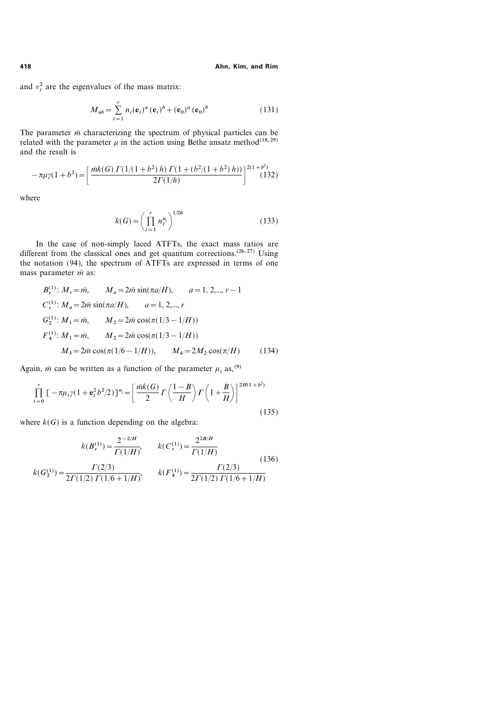and  $v_i^2$  are the eigenvalues of the mass matrix:

$$
M_{ab} = \sum_{i=1}^{r} n_i(\mathbf{e}_i)^a (\mathbf{e}_i)^b + (\mathbf{e}_0)^a (\mathbf{e}_0)^b
$$
 (131)

The parameter  $\bar{m}$  characterizing the spectrum of physical particles can be related with the parameter  $\mu$  in the action using Bethe ansatz method<sup>(18, 29)</sup> and the result is

$$
-\pi\mu\gamma(1+b^2) = \left[\frac{\bar{m}k(G)\ \Gamma(1/(1+b^2)\ h)\ \Gamma(1+(b^2/(1+b^2)\ h))}{2\Gamma(1/h)}\right]^{2(1+b^2)}(132)
$$

where

$$
k(G) = \left(\prod_{i=1}^{r} n_i^{n_i}\right)^{1/2h} \tag{133}
$$

In the case of non-simply laced ATFTs, the exact mass ratios are different from the classical ones and get quantum corrections.<sup>(26, 27)</sup> Using the notation (94), the spectrum of ATFTs are expressed in terms of one mass parameter  $\bar{m}$  as:

$$
B_r^{(1)}: M_r = \bar{m}, \qquad M_a = 2\bar{m} \sin(\pi a/H), \qquad a = 1, 2, \dots, r - 1
$$
  
\n
$$
C_r^{(1)}: M_a = 2\bar{m} \sin(\pi a/H), \qquad a = 1, 2, \dots, r
$$
  
\n
$$
G_2^{(1)}: M_1 = \bar{m}, \qquad M_2 = 2\bar{m} \cos(\pi (1/3 - 1/H))
$$
  
\n
$$
F_4^{(1)}: M_1 = \bar{m}, \qquad M_2 = 2\bar{m} \cos(\pi (1/3 - 1/H))
$$
  
\n
$$
M_3 = 2\bar{m} \cos(\pi (1/6 - 1/H)), \qquad M_4 = 2M_2 \cos(\pi/H) \qquad (134)
$$

Again,  $\bar{m}$  can be written as a function of the parameter  $\mu_i$  as,<sup>(9)</sup>

$$
\prod_{i=0}^{r} \left[ -\pi \mu_i \gamma (1 + \mathbf{e}_i^2 b^2 / 2) \right]^{n_i} = \left[ \frac{\bar{m} k(G)}{2} \Gamma \left( \frac{1 - B}{H} \right) \Gamma \left( 1 + \frac{B}{H} \right) \right]^{2H(1 + b^2)}
$$
\n(135)

where  $k(G)$  is a function depending on the algebra:

$$
k(B_r^{(1)}) = \frac{2^{-2/H}}{\Gamma(1/H)}, \qquad k(C_r^{(1)}) = \frac{2^{2B/H}}{\Gamma(1/H)}
$$
(136)  

$$
k(G_2^{(1)}) = \frac{\Gamma(2/3)}{2\Gamma(1/2)\Gamma(1/6+1/H)}, \qquad k(F_4^{(1)}) = \frac{\Gamma(2/3)}{2\Gamma(1/2)\Gamma(1/6+1/H)}
$$